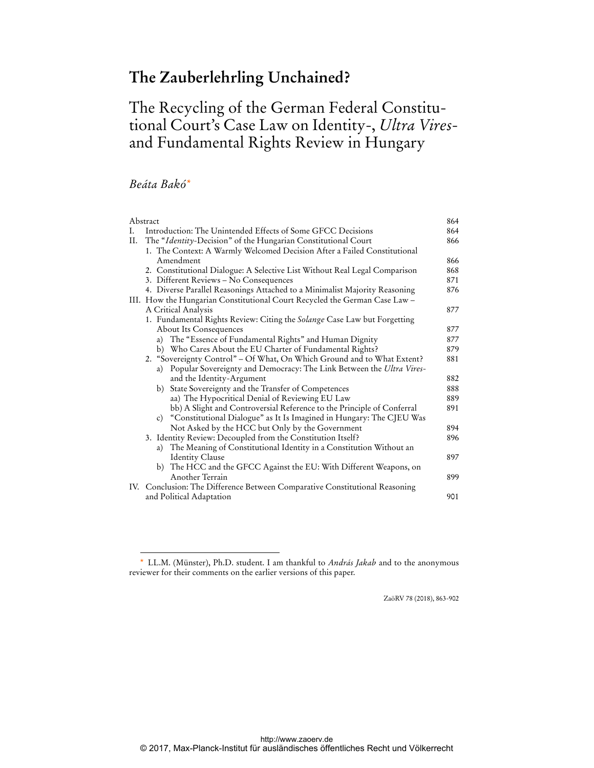# **The Zauberlehrling Unchained?**

# The Recycling of the German Federal Constitutional Court's Case Law on Identity-, *Ultra Vires*and Fundamental Rights Review in Hungary

## *Beáta Bakó\**

 $\overline{a}$ 

|     | Abstract                                                                    | 864 |
|-----|-----------------------------------------------------------------------------|-----|
| Ι.  | Introduction: The Unintended Effects of Some GFCC Decisions                 | 864 |
| II. | The "Identity-Decision" of the Hungarian Constitutional Court               | 866 |
|     | 1. The Context: A Warmly Welcomed Decision After a Failed Constitutional    |     |
|     | Amendment                                                                   | 866 |
|     | 2. Constitutional Dialogue: A Selective List Without Real Legal Comparison  | 868 |
|     | 3. Different Reviews - No Consequences                                      | 871 |
|     | 4. Diverse Parallel Reasonings Attached to a Minimalist Majority Reasoning  | 876 |
|     | III. How the Hungarian Constitutional Court Recycled the German Case Law -  |     |
|     | A Critical Analysis                                                         | 877 |
|     | 1. Fundamental Rights Review: Citing the Solange Case Law but Forgetting    |     |
|     | <b>About Its Consequences</b>                                               | 877 |
|     | a) The "Essence of Fundamental Rights" and Human Dignity                    | 877 |
|     | b) Who Cares About the EU Charter of Fundamental Rights?                    | 879 |
|     | 2. "Sovereignty Control" - Of What, On Which Ground and to What Extent?     | 881 |
|     | a) Popular Sovereignty and Democracy: The Link Between the Ultra Vires-     |     |
|     | and the Identity-Argument                                                   | 882 |
|     | State Sovereignty and the Transfer of Competences<br>b)                     | 888 |
|     | aa) The Hypocritical Denial of Reviewing EU Law                             | 889 |
|     | bb) A Slight and Controversial Reference to the Principle of Conferral      | 891 |
|     | c) "Constitutional Dialogue" as It Is Imagined in Hungary: The CJEU Was     |     |
|     | Not Asked by the HCC but Only by the Government                             | 894 |
|     | 3. Identity Review: Decoupled from the Constitution Itself?                 | 896 |
|     | a) The Meaning of Constitutional Identity in a Constitution Without an      |     |
|     | <b>Identity Clause</b>                                                      | 897 |
|     | b) The HCC and the GFCC Against the EU: With Different Weapons, on          |     |
|     | Another Terrain                                                             | 899 |
|     | IV. Conclusion: The Difference Between Comparative Constitutional Reasoning |     |
|     | and Political Adaptation                                                    | 901 |

ZaöRV 78 (2018), 863-902

<sup>\*</sup> LL.M. (Münster), Ph.D. student. I am thankful to *András Jakab* and to the anonymous reviewer for their comments on the earlier versions of this paper.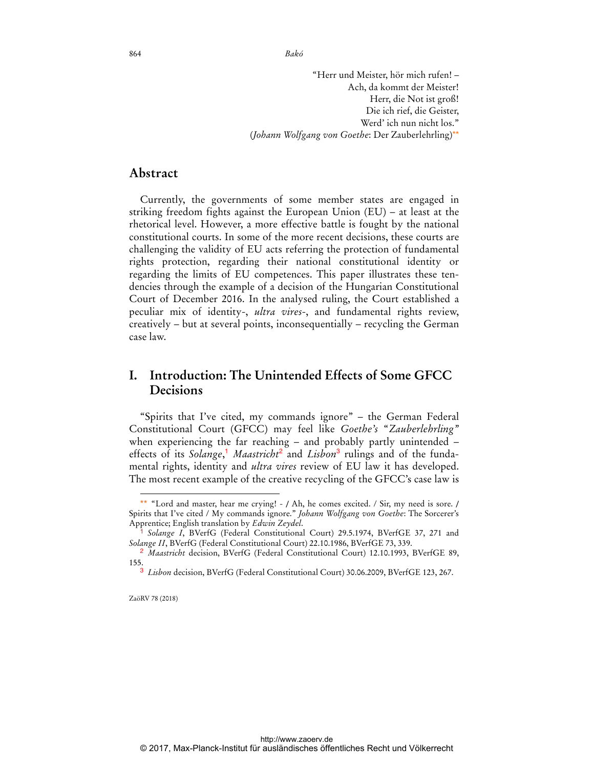864 *Bakó* 

"Herr und Meister, hör mich rufen! – Ach, da kommt der Meister! Herr, die Not ist groß! Die ich rief, die Geister, Werd' ich nun nicht los." (*Johann Wolfgang von Goethe*: Der Zauberlehrling)\*\*

### **Abstract**

Currently, the governments of some member states are engaged in striking freedom fights against the European Union (EU) – at least at the rhetorical level. However, a more effective battle is fought by the national constitutional courts. In some of the more recent decisions, these courts are challenging the validity of EU acts referring the protection of fundamental rights protection, regarding their national constitutional identity or regarding the limits of EU competences. This paper illustrates these tendencies through the example of a decision of the Hungarian Constitutional Court of December 2016. In the analysed ruling, the Court established a peculiar mix of identity-, *ultra vires*-, and fundamental rights review, creatively – but at several points, inconsequentially – recycling the German case law.

# **I. Introduction: The Unintended Effects of Some GFCC Decisions**

"Spirits that I've cited, my commands ignore" – the German Federal Constitutional Court (GFCC) may feel like *Goethe's* "*Zauberlehrling"*  when experiencing the far reaching – and probably partly unintended – effects of its *Solange*,<sup>1</sup> *Maastricht*<sup>2</sup> and *Lisbon*<sup>3</sup> rulings and of the fundamental rights, identity and *ultra vires* review of EU law it has developed. The most recent example of the creative recycling of the GFCC's case law is

<sup>\*\* &</sup>quot;Lord and master, hear me crying! - / Ah, he comes excited. / Sir, my need is sore. / Spirits that I've cited / My commands ignore." *Johann Wolfgang von Goethe*: The Sorcerer's Apprentice; English translation by *Edwin Zeydel*.

<sup>1</sup> *Solange I*, BVerfG (Federal Constitutional Court) 29.5.1974, BVerfGE 37, 271 and *Solange II*, BVerfG (Federal Constitutional Court) 22.10.1986, BVerfGE 73, 339.

<sup>2</sup> *Maastricht* decision, BVerfG (Federal Constitutional Court) 12.10.1993, BVerfGE 89, 155.

<sup>3</sup> *Lisbon* decision, BVerfG (Federal Constitutional Court) 30.06.2009, BVerfGE 123, 267.

ZaöRV 78 (2018)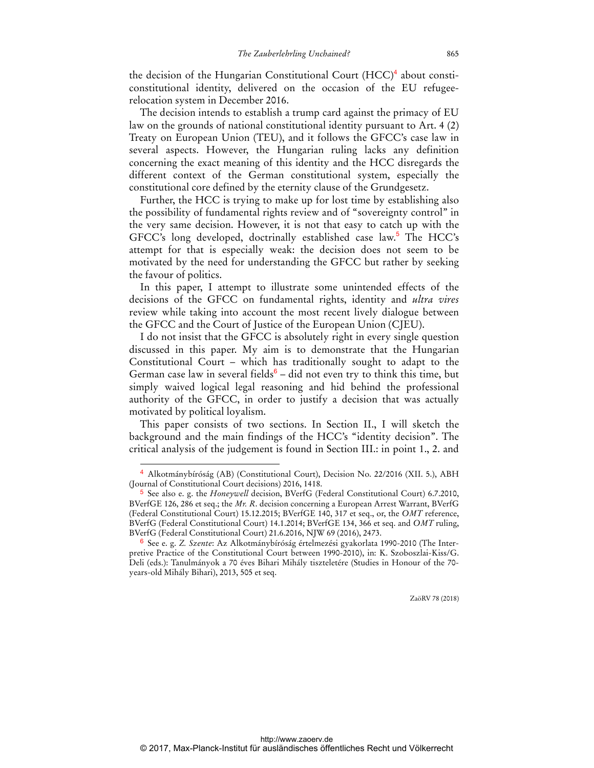the decision of the Hungarian Constitutional Court (HCC)<sup>4</sup> about consticonstitutional identity, delivered on the occasion of the EU refugeerelocation system in December 2016.

The decision intends to establish a trump card against the primacy of EU law on the grounds of national constitutional identity pursuant to Art. 4 (2) Treaty on European Union (TEU), and it follows the GFCC's case law in several aspects. However, the Hungarian ruling lacks any definition concerning the exact meaning of this identity and the HCC disregards the different context of the German constitutional system, especially the constitutional core defined by the eternity clause of the Grundgesetz.

Further, the HCC is trying to make up for lost time by establishing also the possibility of fundamental rights review and of "sovereignty control" in the very same decision. However, it is not that easy to catch up with the GFCC's long developed, doctrinally established case law.<sup>5</sup> The HCC's attempt for that is especially weak: the decision does not seem to be motivated by the need for understanding the GFCC but rather by seeking the favour of politics.

In this paper, I attempt to illustrate some unintended effects of the decisions of the GFCC on fundamental rights, identity and *ultra vires* review while taking into account the most recent lively dialogue between the GFCC and the Court of Justice of the European Union (CJEU).

I do not insist that the GFCC is absolutely right in every single question discussed in this paper. My aim is to demonstrate that the Hungarian Constitutional Court – which has traditionally sought to adapt to the German case law in several fields $6 -$  did not even try to think this time, but simply waived logical legal reasoning and hid behind the professional authority of the GFCC, in order to justify a decision that was actually motivated by political loyalism.

This paper consists of two sections. In Section II., I will sketch the background and the main findings of the HCC's "identity decision". The critical analysis of the judgement is found in Section III.: in point 1., 2. and

 $\overline{a}$ 

<sup>4</sup> Alkotmánybíróság (AB) (Constitutional Court), Decision No. 22/2016 (XII. 5.), ABH (Journal of Constitutional Court decisions) 2016, 1418.

<sup>5</sup> See also e. g. the *Honeywell* decision, BVerfG (Federal Constitutional Court) 6.7.2010, BVerfGE 126, 286 et seq.; the *Mr. R*. decision concerning a European Arrest Warrant, BVerfG (Federal Constitutional Court) 15.12.2015; BVerfGE 140, 317 et seq., or, the *OMT* reference, BVerfG (Federal Constitutional Court) 14.1.2014; BVerfGE 134, 366 et seq. and *OMT* ruling, BVerfG (Federal Constitutional Court) 21.6.2016, NJW 69 (2016), 2473.

<sup>6</sup> See e. g. *Z. Szente*: Az Alkotmánybíróság értelmezési gyakorlata 1990-2010 (The Interpretive Practice of the Constitutional Court between 1990-2010), in: K. Szoboszlai-Kiss/G. Deli (eds.): Tanulmányok a 70 éves Bihari Mihály tiszteletére (Studies in Honour of the 70 years-old Mihály Bihari), 2013, 505 et seq.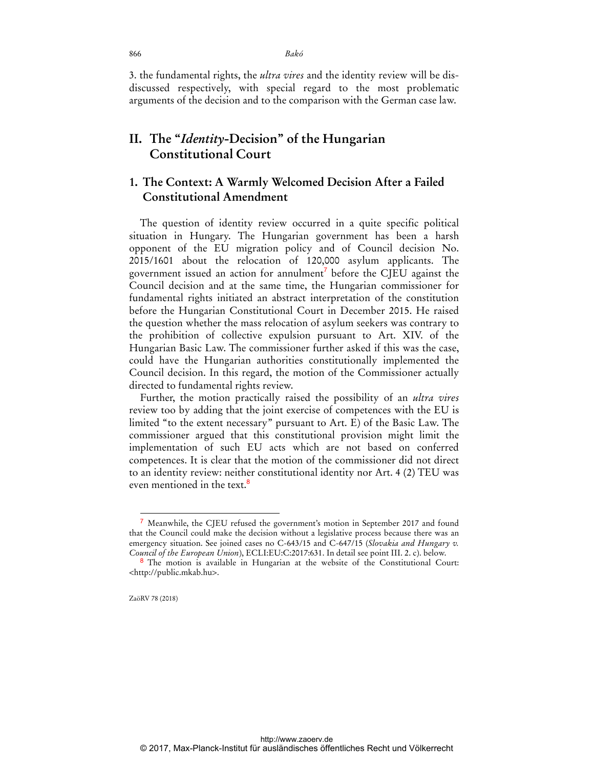3. the fundamental rights, the *ultra vires* and the identity review will be disdiscussed respectively, with special regard to the most problematic arguments of the decision and to the comparison with the German case law.

# **II. The "***Identity***-Decision" of the Hungarian Constitutional Court**

### **1. The Context: A Warmly Welcomed Decision After a Failed Constitutional Amendment**

The question of identity review occurred in a quite specific political situation in Hungary. The Hungarian government has been a harsh opponent of the EU migration policy and of Council decision No. 2015/1601 about the relocation of 120,000 asylum applicants. The government issued an action for annulment<sup>7</sup> before the CJEU against the Council decision and at the same time, the Hungarian commissioner for fundamental rights initiated an abstract interpretation of the constitution before the Hungarian Constitutional Court in December 2015. He raised the question whether the mass relocation of asylum seekers was contrary to the prohibition of collective expulsion pursuant to Art. XIV. of the Hungarian Basic Law. The commissioner further asked if this was the case, could have the Hungarian authorities constitutionally implemented the Council decision. In this regard, the motion of the Commissioner actually directed to fundamental rights review.

Further, the motion practically raised the possibility of an *ultra vires* review too by adding that the joint exercise of competences with the EU is limited "to the extent necessary" pursuant to Art. E) of the Basic Law. The commissioner argued that this constitutional provision might limit the implementation of such EU acts which are not based on conferred competences. It is clear that the motion of the commissioner did not direct to an identity review: neither constitutional identity nor Art. 4 (2) TEU was even mentioned in the text.<sup>8</sup>

<sup>7</sup> Meanwhile, the CJEU refused the government's motion in September 2017 and found that the Council could make the decision without a legislative process because there was an emergency situation. See joined cases no C-643/15 and C-647/15 (*Slovakia and Hungary v. Council of the European Union*), ECLI:EU:C:2017:631. In detail see point III. 2. c). below.

<sup>8</sup> The motion is available in Hungarian at the website of the Constitutional Court: <http://public.mkab.hu>.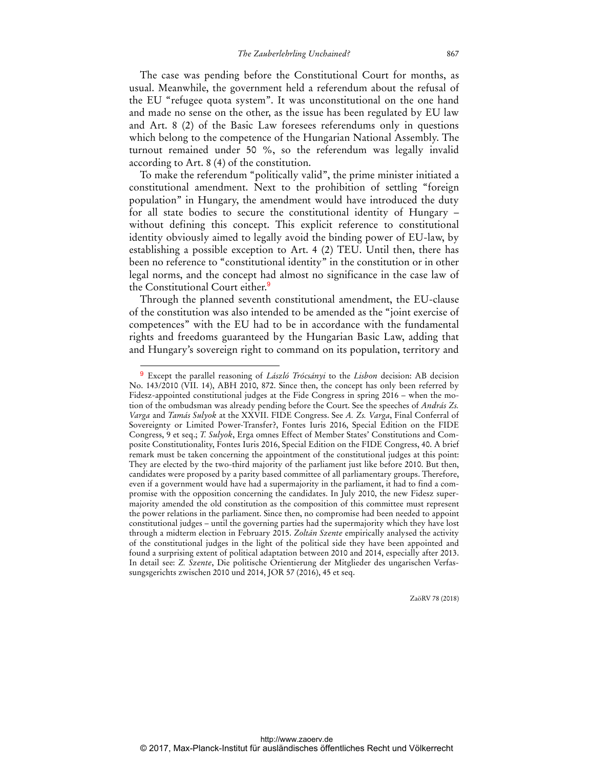The case was pending before the Constitutional Court for months, as usual. Meanwhile, the government held a referendum about the refusal of the EU "refugee quota system". It was unconstitutional on the one hand and made no sense on the other, as the issue has been regulated by EU law and Art. 8 (2) of the Basic Law foresees referendums only in questions which belong to the competence of the Hungarian National Assembly. The turnout remained under 50 %, so the referendum was legally invalid according to Art. 8 (4) of the constitution.

To make the referendum "politically valid", the prime minister initiated a constitutional amendment. Next to the prohibition of settling "foreign population" in Hungary, the amendment would have introduced the duty for all state bodies to secure the constitutional identity of Hungary – without defining this concept. This explicit reference to constitutional identity obviously aimed to legally avoid the binding power of EU-law, by establishing a possible exception to Art. 4 (2) TEU. Until then, there has been no reference to "constitutional identity" in the constitution or in other legal norms, and the concept had almost no significance in the case law of the Constitutional Court either.<sup>9</sup>

Through the planned seventh constitutional amendment, the EU-clause of the constitution was also intended to be amended as the "joint exercise of competences" with the EU had to be in accordance with the fundamental rights and freedoms guaranteed by the Hungarian Basic Law, adding that and Hungary's sovereign right to command on its population, territory and

 $\overline{a}$ 

<sup>9</sup> Except the parallel reasoning of *László Trócsányi* to the *Lisbon* decision: AB decision No. 143/2010 (VII. 14), ABH 2010, 872. Since then, the concept has only been referred by Fidesz-appointed constitutional judges at the Fide Congress in spring 2016 – when the motion of the ombudsman was already pending before the Court. See the speeches of *András Zs. Varga* and *Tamás Sulyok* at the XXVII. FIDE Congress. See *A. Zs. Varga*, Final Conferral of Sovereignty or Limited Power-Transfer?, Fontes Iuris 2016, Special Edition on the FIDE Congress, 9 et seq.; *T. Sulyok*, Erga omnes Effect of Member States' Constitutions and Composite Constitutionality, Fontes Iuris 2016, Special Edition on the FIDE Congress, 40. A brief remark must be taken concerning the appointment of the constitutional judges at this point: They are elected by the two-third majority of the parliament just like before 2010. But then, candidates were proposed by a parity based committee of all parliamentary groups. Therefore, even if a government would have had a supermajority in the parliament, it had to find a compromise with the opposition concerning the candidates. In July 2010, the new Fidesz supermajority amended the old constitution as the composition of this committee must represent the power relations in the parliament. Since then, no compromise had been needed to appoint constitutional judges – until the governing parties had the supermajority which they have lost through a midterm election in February 2015. *Zoltán Szente* empirically analysed the activity of the constitutional judges in the light of the political side they have been appointed and found a surprising extent of political adaptation between 2010 and 2014, especially after 2013. In detail see: *Z. Szente*, Die politische Orientierung der Mitglieder des ungarischen Verfassungsgerichts zwischen 2010 und 2014, JOR 57 (2016), 45 et seq.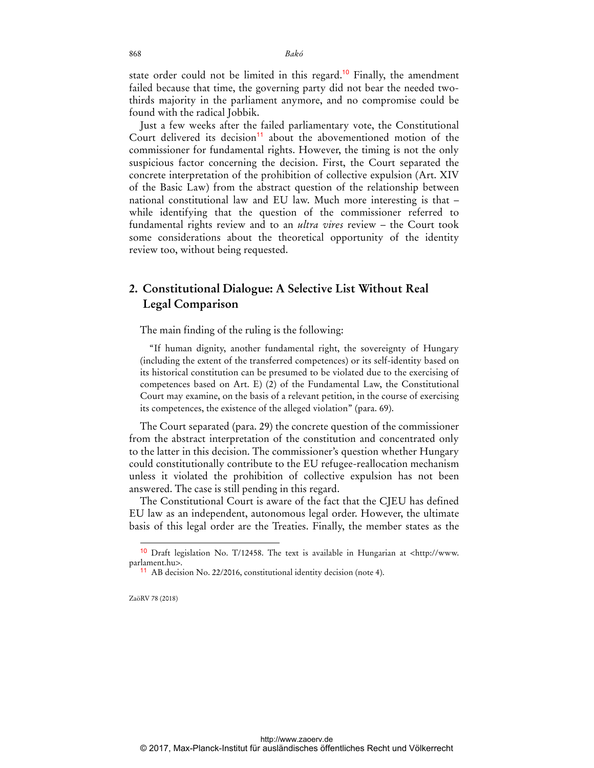state order could not be limited in this regard.<sup>10</sup> Finally, the amendment failed because that time, the governing party did not bear the needed twothirds majority in the parliament anymore, and no compromise could be found with the radical Jobbik.

Just a few weeks after the failed parliamentary vote, the Constitutional Court delivered its decision<sup>11</sup> about the abovementioned motion of the commissioner for fundamental rights. However, the timing is not the only suspicious factor concerning the decision. First, the Court separated the concrete interpretation of the prohibition of collective expulsion (Art. XIV of the Basic Law) from the abstract question of the relationship between national constitutional law and EU law. Much more interesting is that – while identifying that the question of the commissioner referred to fundamental rights review and to an *ultra vires* review – the Court took some considerations about the theoretical opportunity of the identity review too, without being requested.

### **2. Constitutional Dialogue: A Selective List Without Real Legal Comparison**

The main finding of the ruling is the following:

"If human dignity, another fundamental right, the sovereignty of Hungary (including the extent of the transferred competences) or its self-identity based on its historical constitution can be presumed to be violated due to the exercising of competences based on Art. E) (2) of the Fundamental Law, the Constitutional Court may examine, on the basis of a relevant petition, in the course of exercising its competences, the existence of the alleged violation" (para. 69).

The Court separated (para. 29) the concrete question of the commissioner from the abstract interpretation of the constitution and concentrated only to the latter in this decision. The commissioner's question whether Hungary could constitutionally contribute to the EU refugee-reallocation mechanism unless it violated the prohibition of collective expulsion has not been answered. The case is still pending in this regard.

The Constitutional Court is aware of the fact that the CJEU has defined EU law as an independent, autonomous legal order. However, the ultimate basis of this legal order are the Treaties. Finally, the member states as the

ZaöRV 78 (2018)

<sup>10</sup> Draft legislation No. T/12458. The text is available in Hungarian at <http://www. parlament.hu>.

<sup>11</sup> AB decision No. 22/2016, constitutional identity decision (note 4).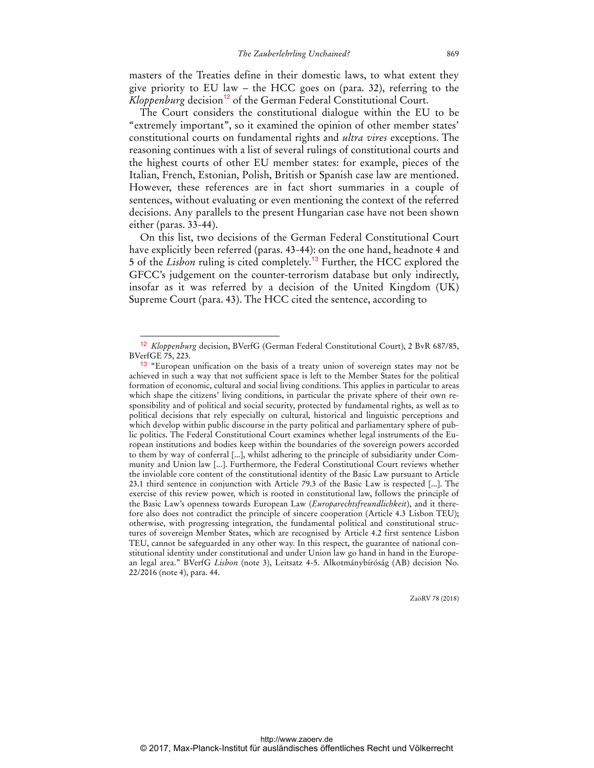masters of the Treaties define in their domestic laws, to what extent they give priority to EU law – the HCC goes on (para. 32), referring to the *Kloppenburg* decision<sup>12</sup> of the German Federal Constitutional Court.

The Court considers the constitutional dialogue within the EU to be "extremely important", so it examined the opinion of other member states' constitutional courts on fundamental rights and *ultra vires* exceptions. The reasoning continues with a list of several rulings of constitutional courts and the highest courts of other EU member states: for example, pieces of the Italian, French, Estonian, Polish, British or Spanish case law are mentioned. However, these references are in fact short summaries in a couple of sentences, without evaluating or even mentioning the context of the referred decisions. Any parallels to the present Hungarian case have not been shown either (paras. 33-44).

On this list, two decisions of the German Federal Constitutional Court have explicitly been referred (paras. 43-44): on the one hand, headnote 4 and 5 of the *Lisbon* ruling is cited completely.<sup>13</sup> Further, the HCC explored the GFCC's judgement on the counter-terrorism database but only indirectly, insofar as it was referred by a decision of the United Kingdom (UK) Supreme Court (para. 43). The HCC cited the sentence, according to

 $\overline{a}$ 

<sup>12</sup> *Kloppenburg* decision, BVerfG (German Federal Constitutional Court), 2 BvR 687/85, BVerfGE 75, 223.

<sup>&</sup>lt;sup>13</sup> "European unification on the basis of a treaty union of sovereign states may not be achieved in such a way that not sufficient space is left to the Member States for the political formation of economic, cultural and social living conditions. This applies in particular to areas which shape the citizens' living conditions, in particular the private sphere of their own responsibility and of political and social security, protected by fundamental rights, as well as to political decisions that rely especially on cultural, historical and linguistic perceptions and which develop within public discourse in the party political and parliamentary sphere of public politics. The Federal Constitutional Court examines whether legal instruments of the European institutions and bodies keep within the boundaries of the sovereign powers accorded to them by way of conferral [...], whilst adhering to the principle of subsidiarity under Community and Union law [...]. Furthermore, the Federal Constitutional Court reviews whether the inviolable core content of the constitutional identity of the Basic Law pursuant to Article 23.1 third sentence in conjunction with Article 79.3 of the Basic Law is respected [...]. The exercise of this review power, which is rooted in constitutional law, follows the principle of the Basic Law's openness towards European Law (*Europarechtsfreundlichkeit*), and it therefore also does not contradict the principle of sincere cooperation (Article 4.3 Lisbon TEU); otherwise, with progressing integration, the fundamental political and constitutional structures of sovereign Member States, which are recognised by Article 4.2 first sentence Lisbon TEU, cannot be safeguarded in any other way. In this respect, the guarantee of national constitutional identity under constitutional and under Union law go hand in hand in the European legal area." BVerfG *Lisbon* (note 3), Leitsatz 4-5. Alkotmánybíróság (AB) decision No. 22/2016 (note 4), para. 44.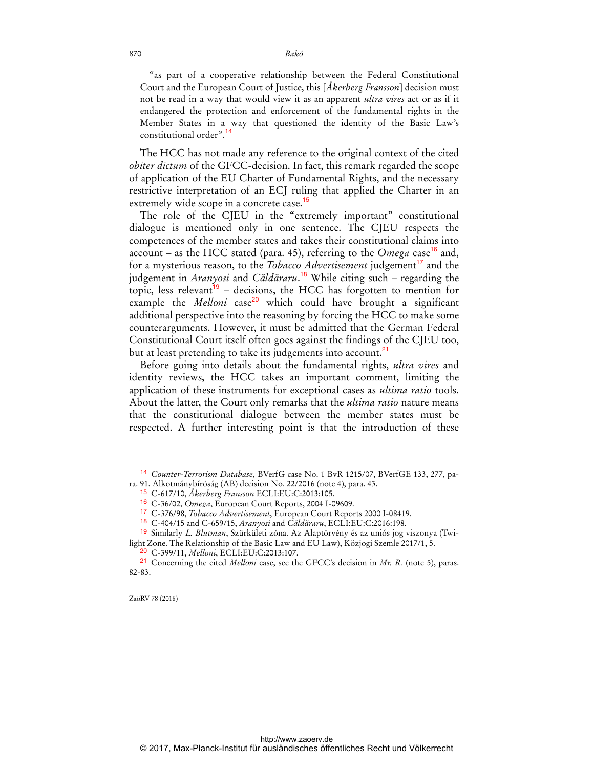"as part of a cooperative relationship between the Federal Constitutional Court and the European Court of Justice, this [*Åkerberg Fransson*] decision must not be read in a way that would view it as an apparent *ultra vires* act or as if it endangered the protection and enforcement of the fundamental rights in the Member States in a way that questioned the identity of the Basic Law's constitutional order".<sup>14</sup>

The HCC has not made any reference to the original context of the cited *obiter dictum* of the GFCC-decision. In fact, this remark regarded the scope of application of the EU Charter of Fundamental Rights, and the necessary restrictive interpretation of an ECJ ruling that applied the Charter in an extremely wide scope in a concrete case.<sup>15</sup>

The role of the CJEU in the "extremely important" constitutional dialogue is mentioned only in one sentence. The CJEU respects the competences of the member states and takes their constitutional claims into account – as the HCC stated (para. 45), referring to the *Omega* case<sup>16</sup> and, for a mysterious reason, to the *Tobacco Advertisement* judgement<sup>17</sup> and the judgement in *Aranyosi* and *Căldăraru*. <sup>18</sup> While citing such – regarding the topic, less relevant<sup>19</sup> – decisions, the HCC has forgotten to mention for example the *Melloni* case<sup>20</sup> which could have brought a significant additional perspective into the reasoning by forcing the HCC to make some counterarguments. However, it must be admitted that the German Federal Constitutional Court itself often goes against the findings of the CJEU too, but at least pretending to take its judgements into account.<sup>21</sup>

Before going into details about the fundamental rights, *ultra vires* and identity reviews, the HCC takes an important comment, limiting the application of these instruments for exceptional cases as *ultima ratio* tools. About the latter, the Court only remarks that the *ultima ratio* nature means that the constitutional dialogue between the member states must be respected. A further interesting point is that the introduction of these

ZaöRV 78 (2018)

<sup>14</sup> *Counter-Terrorism Database*, BVerfG case No. 1 BvR 1215/07, BVerfGE 133, 277, para. 91. Alkotmánybíróság (AB) decision No. 22/2016 (note 4), para. 43.

<sup>15</sup> C-617/10, *Åkerberg Fransson* ECLI:EU:C:2013:105.

<sup>16</sup> C-36/02, *Omega*, European Court Reports, 2004 I-09609.

<sup>17</sup> C-376/98, *Tobacco Advertisement*, European Court Reports 2000 I-08419.

<sup>18</sup> C-404/15 and C-659/15, *Aranyosi* and *Căldăraru*, ECLI:EU:C:2016:198.

<sup>19</sup> Similarly *L. Blutman*, Szürkületi zóna. Az Alaptörvény és az uniós jog viszonya (Twilight Zone. The Relationship of the Basic Law and EU Law), Közjogi Szemle 2017/1, 5.

<sup>20</sup> C-399/11, *Melloni*, ECLI:EU:C:2013:107.

<sup>21</sup> Concerning the cited *Melloni* case, see the GFCC's decision in *Mr. R.* (note 5), paras. 82-83.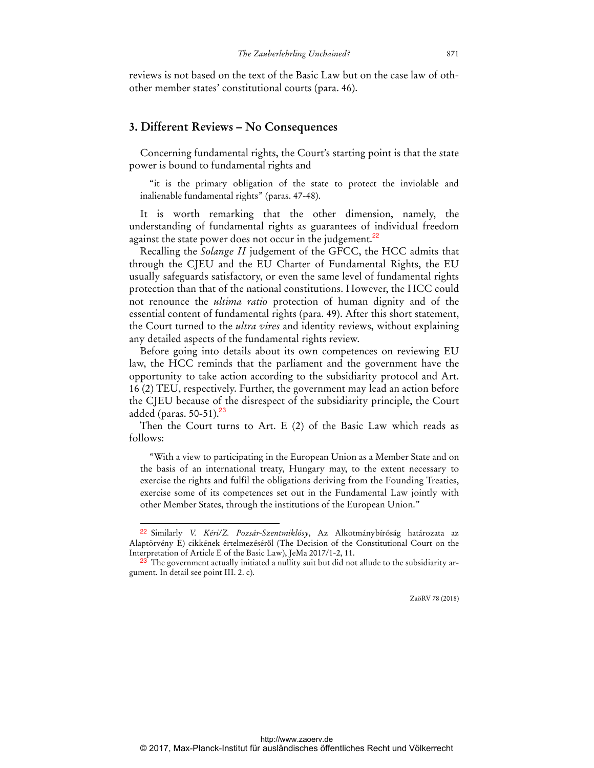reviews is not based on the text of the Basic Law but on the case law of othother member states' constitutional courts (para. 46).

### **3. Different Reviews – No Consequences**

Concerning fundamental rights, the Court's starting point is that the state power is bound to fundamental rights and

"it is the primary obligation of the state to protect the inviolable and inalienable fundamental rights" (paras. 47-48).

It is worth remarking that the other dimension, namely, the understanding of fundamental rights as guarantees of individual freedom against the state power does not occur in the judgement.<sup>22</sup>

Recalling the *Solange II* judgement of the GFCC, the HCC admits that through the CJEU and the EU Charter of Fundamental Rights, the EU usually safeguards satisfactory, or even the same level of fundamental rights protection than that of the national constitutions. However, the HCC could not renounce the *ultima ratio* protection of human dignity and of the essential content of fundamental rights (para. 49). After this short statement, the Court turned to the *ultra vires* and identity reviews, without explaining any detailed aspects of the fundamental rights review.

Before going into details about its own competences on reviewing EU law, the HCC reminds that the parliament and the government have the opportunity to take action according to the subsidiarity protocol and Art. 16 (2) TEU, respectively. Further, the government may lead an action before the CJEU because of the disrespect of the subsidiarity principle, the Court added (paras.  $50-51$ ).<sup>23</sup>

Then the Court turns to Art. E (2) of the Basic Law which reads as follows:

"With a view to participating in the European Union as a Member State and on the basis of an international treaty, Hungary may, to the extent necessary to exercise the rights and fulfil the obligations deriving from the Founding Treaties, exercise some of its competences set out in the Fundamental Law jointly with other Member States, through the institutions of the European Union."

<sup>22</sup> Similarly *V. Kéri/Z. Pozsár-Szentmiklósy*, Az Alkotmánybíróság határozata az Alaptörvény E) cikkének értelmezéséről (The Decision of the Constitutional Court on the Interpretation of Article E of the Basic Law), JeMa 2017/1-2, 11.

<sup>&</sup>lt;sup>23</sup> The government actually initiated a nullity suit but did not allude to the subsidiarity argument. In detail see point III. 2. c).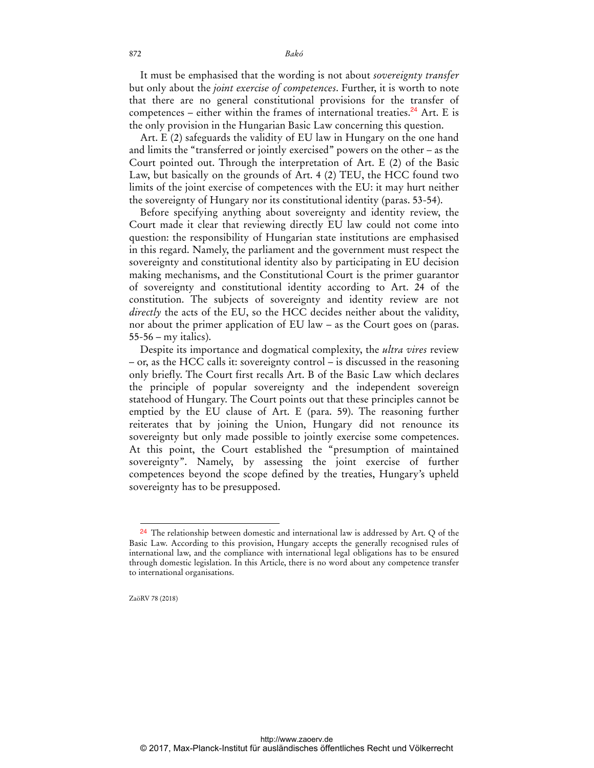It must be emphasised that the wording is not about *sovereignty transfer* but only about the *joint exercise of competences*. Further, it is worth to note that there are no general constitutional provisions for the transfer of competences – either within the frames of international treaties.<sup>24</sup> Art. E is the only provision in the Hungarian Basic Law concerning this question.

Art. E (2) safeguards the validity of EU law in Hungary on the one hand and limits the "transferred or jointly exercised" powers on the other – as the Court pointed out. Through the interpretation of Art. E (2) of the Basic Law, but basically on the grounds of Art. 4 (2) TEU, the HCC found two limits of the joint exercise of competences with the EU: it may hurt neither the sovereignty of Hungary nor its constitutional identity (paras. 53-54).

Before specifying anything about sovereignty and identity review, the Court made it clear that reviewing directly EU law could not come into question: the responsibility of Hungarian state institutions are emphasised in this regard. Namely, the parliament and the government must respect the sovereignty and constitutional identity also by participating in EU decision making mechanisms, and the Constitutional Court is the primer guarantor of sovereignty and constitutional identity according to Art. 24 of the constitution. The subjects of sovereignty and identity review are not *directly* the acts of the EU, so the HCC decides neither about the validity, nor about the primer application of EU law – as the Court goes on (paras. 55-56 – my italics).

Despite its importance and dogmatical complexity, the *ultra vires* review – or, as the HCC calls it: sovereignty control – is discussed in the reasoning only briefly. The Court first recalls Art. B of the Basic Law which declares the principle of popular sovereignty and the independent sovereign statehood of Hungary. The Court points out that these principles cannot be emptied by the EU clause of Art. E (para. 59). The reasoning further reiterates that by joining the Union, Hungary did not renounce its sovereignty but only made possible to jointly exercise some competences. At this point, the Court established the "presumption of maintained sovereignty". Namely, by assessing the joint exercise of further competences beyond the scope defined by the treaties, Hungary's upheld sovereignty has to be presupposed.

ZaöRV 78 (2018)

 $\ddot{ }$ 

<sup>&</sup>lt;sup>24</sup> The relationship between domestic and international law is addressed by Art. Q of the Basic Law. According to this provision, Hungary accepts the generally recognised rules of international law, and the compliance with international legal obligations has to be ensured through domestic legislation. In this Article, there is no word about any competence transfer to international organisations.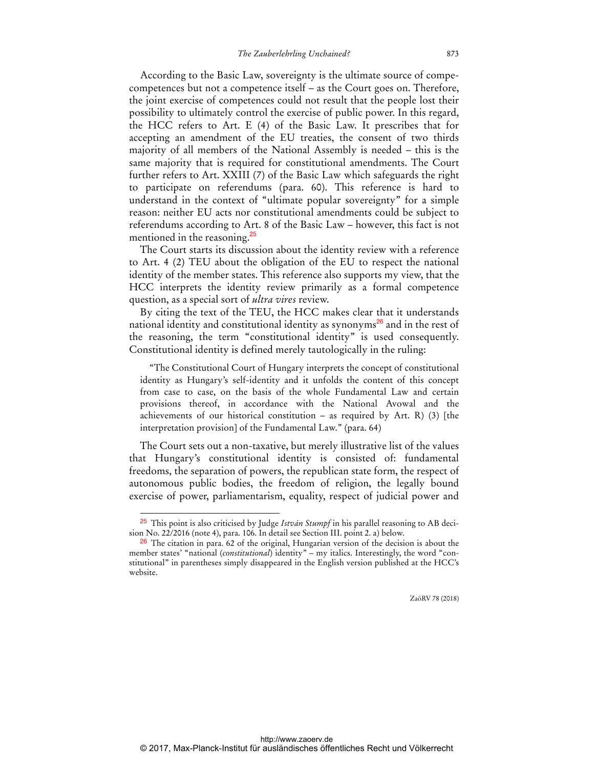According to the Basic Law, sovereignty is the ultimate source of compecompetences but not a competence itself – as the Court goes on. Therefore, the joint exercise of competences could not result that the people lost their possibility to ultimately control the exercise of public power. In this regard, the HCC refers to Art. E (4) of the Basic Law. It prescribes that for accepting an amendment of the EU treaties, the consent of two thirds majority of all members of the National Assembly is needed – this is the same majority that is required for constitutional amendments. The Court further refers to Art. XXIII (7) of the Basic Law which safeguards the right to participate on referendums (para. 60). This reference is hard to understand in the context of "ultimate popular sovereignty" for a simple reason: neither EU acts nor constitutional amendments could be subject to referendums according to Art. 8 of the Basic Law – however, this fact is not mentioned in the reasoning.<sup>25</sup>

The Court starts its discussion about the identity review with a reference to Art. 4 (2) TEU about the obligation of the EU to respect the national identity of the member states. This reference also supports my view, that the HCC interprets the identity review primarily as a formal competence question, as a special sort of *ultra vires* review.

By citing the text of the TEU, the HCC makes clear that it understands national identity and constitutional identity as synonyms<sup>26</sup> and in the rest of the reasoning, the term "constitutional identity" is used consequently. Constitutional identity is defined merely tautologically in the ruling:

"The Constitutional Court of Hungary interprets the concept of constitutional identity as Hungary's self-identity and it unfolds the content of this concept from case to case, on the basis of the whole Fundamental Law and certain provisions thereof, in accordance with the National Avowal and the achievements of our historical constitution – as required by Art. R) (3) [the interpretation provision] of the Fundamental Law." (para. 64)

The Court sets out a non-taxative, but merely illustrative list of the values that Hungary's constitutional identity is consisted of: fundamental freedoms, the separation of powers, the republican state form, the respect of autonomous public bodies, the freedom of religion, the legally bound exercise of power, parliamentarism, equality, respect of judicial power and

 $\overline{a}$ 

<sup>25</sup> This point is also criticised by Judge *István Stumpf* in his parallel reasoning to AB decision No. 22/2016 (note 4), para. 106. In detail see Section III. point 2. a) below.

 $26$  The citation in para. 62 of the original, Hungarian version of the decision is about the member states' "national (*constitutional*) identity" – my italics. Interestingly, the word "constitutional" in parentheses simply disappeared in the English version published at the HCC's website.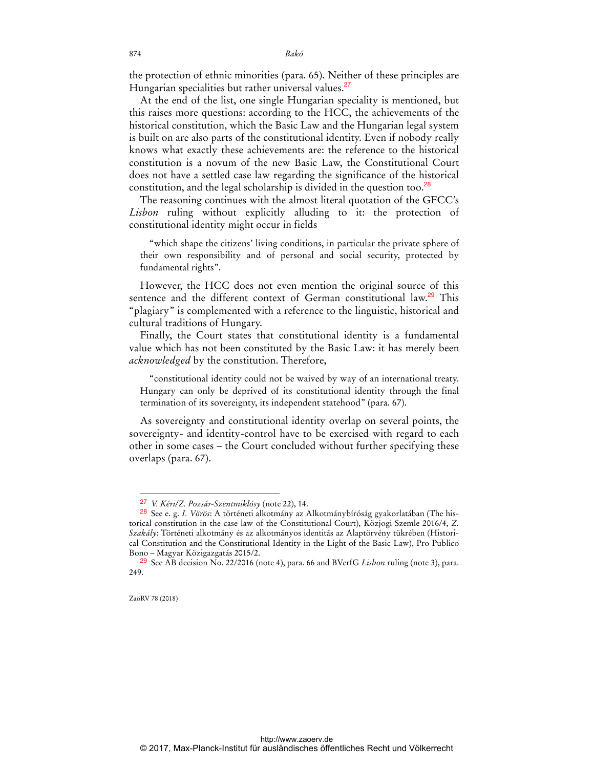the protection of ethnic minorities (para. 65). Neither of these principles are Hungarian specialities but rather universal values.<sup>27</sup>

At the end of the list, one single Hungarian speciality is mentioned, but this raises more questions: according to the HCC, the achievements of the historical constitution, which the Basic Law and the Hungarian legal system is built on are also parts of the constitutional identity. Even if nobody really knows what exactly these achievements are: the reference to the historical constitution is a novum of the new Basic Law, the Constitutional Court does not have a settled case law regarding the significance of the historical constitution, and the legal scholarship is divided in the question too.<sup>28</sup>

The reasoning continues with the almost literal quotation of the GFCC's *Lisbon* ruling without explicitly alluding to it: the protection of constitutional identity might occur in fields

"which shape the citizens' living conditions, in particular the private sphere of their own responsibility and of personal and social security, protected by fundamental rights".

However, the HCC does not even mention the original source of this sentence and the different context of German constitutional law.<sup>29</sup> This "plagiary" is complemented with a reference to the linguistic, historical and cultural traditions of Hungary.

Finally, the Court states that constitutional identity is a fundamental value which has not been constituted by the Basic Law: it has merely been *acknowledged* by the constitution. Therefore,

"constitutional identity could not be waived by way of an international treaty. Hungary can only be deprived of its constitutional identity through the final termination of its sovereignty, its independent statehood" (para. 67).

As sovereignty and constitutional identity overlap on several points, the sovereignty- and identity-control have to be exercised with regard to each other in some cases – the Court concluded without further specifying these overlaps (para. 67).

 $\overline{a}$ 27 *V. Kéri/Z. Pozsár-Szentmiklósy* (note 22), 14.

<sup>28</sup> See e. g. *I. Vörös*: A történeti alkotmány az Alkotmánybíróság gyakorlatában (The historical constitution in the case law of the Constitutional Court), Közjogi Szemle 2016/4, *Z. Szakály*: Történeti alkotmány és az alkotmányos identitás az Alaptörvény tükrében (Historical Constitution and the Constitutional Identity in the Light of the Basic Law), Pro Publico Bono – Magyar Közigazgatás 2015/2.

<sup>29</sup> See AB decision No. 22/2016 (note 4), para. 66 and BVerfG *Lisbon* ruling (note 3), para. 249.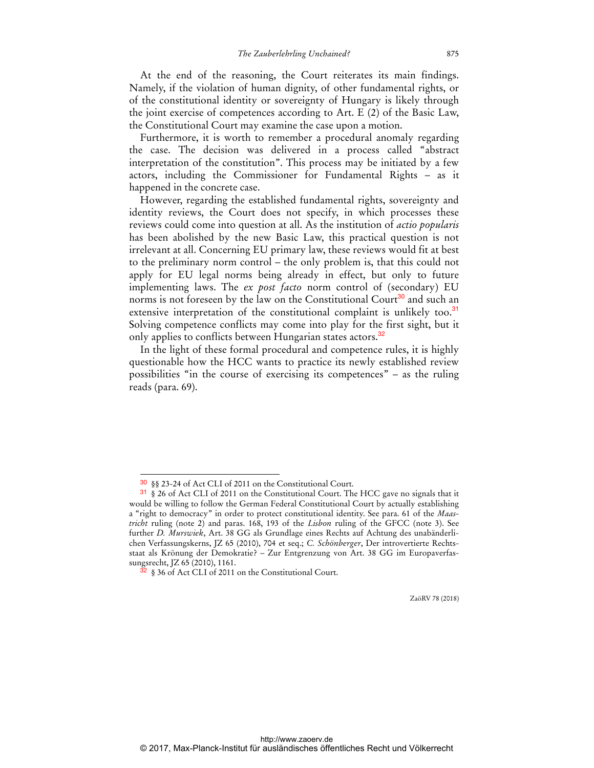At the end of the reasoning, the Court reiterates its main findings. Namely, if the violation of human dignity, of other fundamental rights, or of the constitutional identity or sovereignty of Hungary is likely through the joint exercise of competences according to Art. E (2) of the Basic Law, the Constitutional Court may examine the case upon a motion.

Furthermore, it is worth to remember a procedural anomaly regarding the case. The decision was delivered in a process called "abstract interpretation of the constitution". This process may be initiated by a few actors, including the Commissioner for Fundamental Rights – as it happened in the concrete case.

However, regarding the established fundamental rights, sovereignty and identity reviews, the Court does not specify, in which processes these reviews could come into question at all. As the institution of *actio popularis* has been abolished by the new Basic Law, this practical question is not irrelevant at all. Concerning EU primary law, these reviews would fit at best to the preliminary norm control – the only problem is, that this could not apply for EU legal norms being already in effect, but only to future implementing laws. The *ex post facto* norm control of (secondary) EU norms is not foreseen by the law on the Constitutional Court<sup>30</sup> and such an extensive interpretation of the constitutional complaint is unlikely too.<sup>31</sup> Solving competence conflicts may come into play for the first sight, but it only applies to conflicts between Hungarian states actors.<sup>32</sup>

In the light of these formal procedural and competence rules, it is highly questionable how the HCC wants to practice its newly established review possibilities "in the course of exercising its competences" – as the ruling reads (para. 69).

 $\overline{a}$ 

<sup>30</sup> §§ 23-24 of Act CLI of 2011 on the Constitutional Court.

<sup>31</sup> § 26 of Act CLI of 2011 on the Constitutional Court. The HCC gave no signals that it would be willing to follow the German Federal Constitutional Court by actually establishing a "right to democracy" in order to protect constitutional identity. See para. 61 of the *Maastricht* ruling (note 2) and paras. 168, 193 of the *Lisbon* ruling of the GFCC (note 3). See further *D. Murswiek*, Art. 38 GG als Grundlage eines Rechts auf Achtung des unabänderlichen Verfassungskerns, JZ 65 (2010), 704 et seq.; *C. Schönberger*, Der introvertierte Rechtsstaat als Krönung der Demokratie? – Zur Entgrenzung von Art. 38 GG im Europaverfassungsrecht, JZ 65 (2010), 1161.

<sup>32</sup> § 36 of Act CLI of 2011 on the Constitutional Court.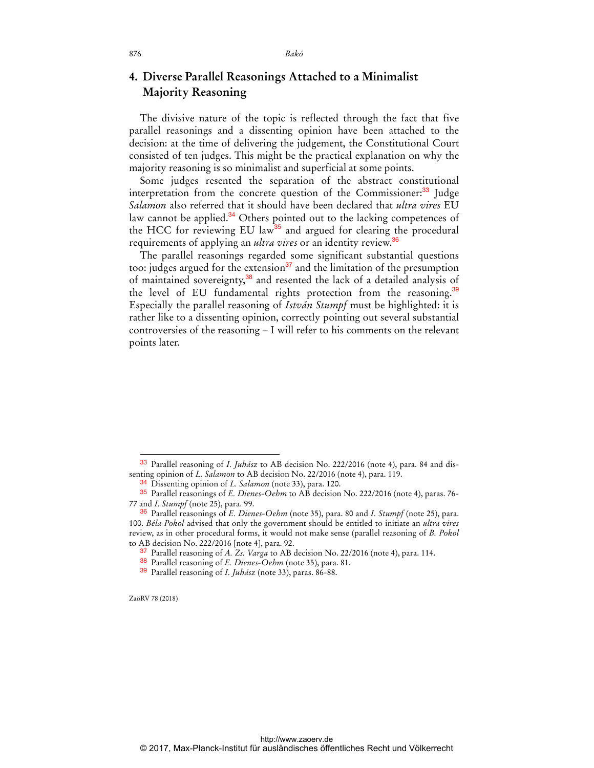# **4. Diverse Parallel Reasonings Attached to a Minimalist Majority Reasoning**

The divisive nature of the topic is reflected through the fact that five parallel reasonings and a dissenting opinion have been attached to the decision: at the time of delivering the judgement, the Constitutional Court consisted of ten judges. This might be the practical explanation on why the majority reasoning is so minimalist and superficial at some points.

Some judges resented the separation of the abstract constitutional interpretation from the concrete question of the Commissioner:<sup>33</sup> Judge *Salamon* also referred that it should have been declared that *ultra vires* EU law cannot be applied.<sup>34</sup> Others pointed out to the lacking competences of the HCC for reviewing EU law<sup>35</sup> and argued for clearing the procedural requirements of applying an *ultra vires* or an identity review.<sup>36</sup>

The parallel reasonings regarded some significant substantial questions too: judges argued for the extension<sup>37</sup> and the limitation of the presumption of maintained sovereignty,<sup>38</sup> and resented the lack of a detailed analysis of the level of EU fundamental rights protection from the reasoning.<sup>39</sup> Especially the parallel reasoning of *István Stumpf* must be highlighted: it is rather like to a dissenting opinion, correctly pointing out several substantial controversies of the reasoning – I will refer to his comments on the relevant points later.

ZaöRV 78 (2018)

<sup>33</sup> Parallel reasoning of *I. Juhász* to AB decision No. 222/2016 (note 4), para. 84 and dissenting opinion of *L. Salamon* to AB decision No. 22/2016 (note 4), para. 119.

<sup>34</sup> Dissenting opinion of *L. Salamon* (note 33), para. 120.

<sup>35</sup> Parallel reasonings of *E. Dienes-Oehm* to AB decision No. 222/2016 (note 4), paras. 76- 77 and *I. Stumpf* (note 25), para. 99.

<sup>36</sup> Parallel reasonings of *E. Dienes-Oehm* (note 35), para. 80 and *I. Stumpf* (note 25), para. 100. *Béla Pokol* advised that only the government should be entitled to initiate an *ultra vires* review, as in other procedural forms, it would not make sense (parallel reasoning of *B. Pokol* to AB decision No. 222/2016 [note 4], para. 92.

<sup>37</sup> Parallel reasoning of *A. Zs. Varga* to AB decision No. 22/2016 (note 4), para. 114.

<sup>38</sup> Parallel reasoning of *E. Dienes-Oehm* (note 35), para. 81.

<sup>39</sup> Parallel reasoning of *I. Juhász* (note 33), paras. 86-88.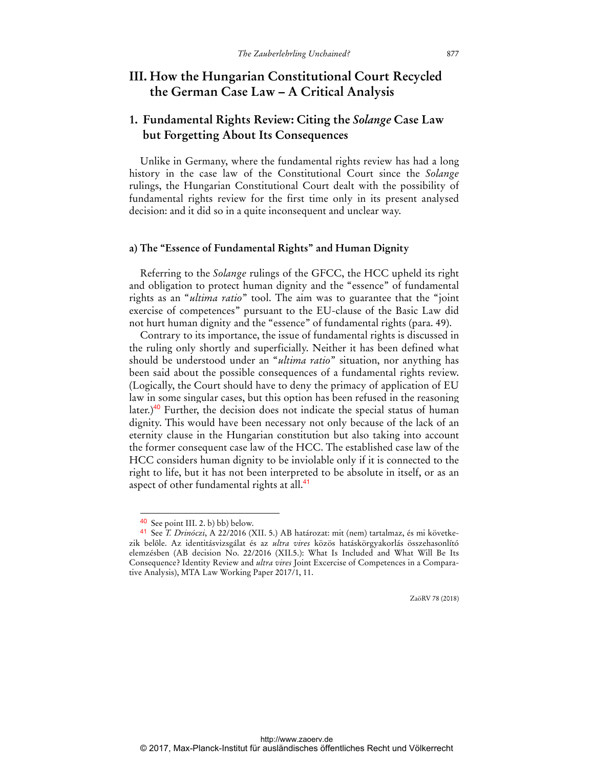### **III. How the Hungarian Constitutional Court Recycled the German Case Law – A Critical Analysis**

### **1. Fundamental Rights Review: Citing the** *Solange* **Case Law but Forgetting About Its Consequences**

Unlike in Germany, where the fundamental rights review has had a long history in the case law of the Constitutional Court since the *Solange* rulings, the Hungarian Constitutional Court dealt with the possibility of fundamental rights review for the first time only in its present analysed decision: and it did so in a quite inconsequent and unclear way.

#### **a) The "Essence of Fundamental Rights" and Human Dignity**

Referring to the *Solange* rulings of the GFCC, the HCC upheld its right and obligation to protect human dignity and the "essence" of fundamental rights as an "*ultima ratio*" tool. The aim was to guarantee that the "joint exercise of competences" pursuant to the EU-clause of the Basic Law did not hurt human dignity and the "essence" of fundamental rights (para. 49).

Contrary to its importance, the issue of fundamental rights is discussed in the ruling only shortly and superficially. Neither it has been defined what should be understood under an "*ultima ratio*" situation, nor anything has been said about the possible consequences of a fundamental rights review. (Logically, the Court should have to deny the primacy of application of EU law in some singular cases, but this option has been refused in the reasoning later.)<sup>40</sup> Further, the decision does not indicate the special status of human dignity. This would have been necessary not only because of the lack of an eternity clause in the Hungarian constitution but also taking into account the former consequent case law of the HCC. The established case law of the HCC considers human dignity to be inviolable only if it is connected to the right to life, but it has not been interpreted to be absolute in itself, or as an aspect of other fundamental rights at all.<sup>41</sup>

 $\overline{a}$ 

<sup>40</sup> See point III. 2. b) bb) below.

<sup>41</sup> See *T. Drinóczi*, A 22/2016 (XII. 5.) AB határozat: mit (nem) tartalmaz, és mi következik belőle. Az identitásvizsgálat és az *ultra vires* közös hatáskörgyakorlás összehasonlító elemzésben (AB decision No. 22/2016 (XII.5.): What Is Included and What Will Be Its Consequence? Identity Review and *ultra vires* Joint Excercise of Competences in a Comparative Analysis), MTA Law Working Paper 2017/1, 11.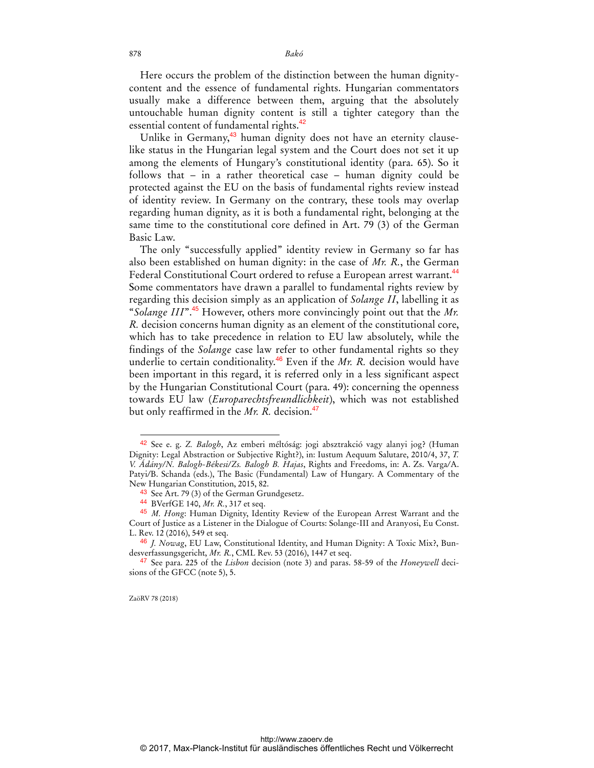Here occurs the problem of the distinction between the human dignitycontent and the essence of fundamental rights. Hungarian commentators usually make a difference between them, arguing that the absolutely untouchable human dignity content is still a tighter category than the essential content of fundamental rights.<sup>42</sup>

Unlike in Germany,<sup>43</sup> human dignity does not have an eternity clauselike status in the Hungarian legal system and the Court does not set it up among the elements of Hungary's constitutional identity (para. 65). So it follows that – in a rather theoretical case – human dignity could be protected against the EU on the basis of fundamental rights review instead of identity review. In Germany on the contrary, these tools may overlap regarding human dignity, as it is both a fundamental right, belonging at the same time to the constitutional core defined in Art. 79 (3) of the German Basic Law.

The only "successfully applied" identity review in Germany so far has also been established on human dignity: in the case of *Mr. R.*, the German Federal Constitutional Court ordered to refuse a European arrest warrant.<sup>44</sup> Some commentators have drawn a parallel to fundamental rights review by regarding this decision simply as an application of *Solange II*, labelling it as "*Solange III*".<sup>45</sup> However, others more convincingly point out that the *Mr. R.* decision concerns human dignity as an element of the constitutional core, which has to take precedence in relation to EU law absolutely, while the findings of the *Solange* case law refer to other fundamental rights so they underlie to certain conditionality.<sup>46</sup> Even if the *Mr. R.* decision would have been important in this regard, it is referred only in a less significant aspect by the Hungarian Constitutional Court (para. 49): concerning the openness towards EU law (*Europarechtsfreundlichkeit*), which was not established but only reaffirmed in the *Mr. R.* decision.<sup>47</sup>

<sup>42</sup> See e. g. *Z. Balogh*, Az emberi méltóság: jogi absztrakció vagy alanyi jog? (Human Dignity: Legal Abstraction or Subjective Right?), in: Iustum Aequum Salutare, 2010/4, 37, *T. V. Ádány/N. Balogh-Békesi/Zs. Balogh B. Hajas*, Rights and Freedoms, in: A. Zs. Varga*/*A. Patyi*/*B. Schanda (eds.), The Basic (Fundamental) Law of Hungary. A Commentary of the New Hungarian Constitution, 2015, 82.

<sup>&</sup>lt;sup>43</sup> See Art. 79 (3) of the German Grundgesetz.

<sup>44</sup> BVerfGE 140, *Mr. R.*, 317 et seq.

<sup>45</sup> *M. Hong*: Human Dignity, Identity Review of the European Arrest Warrant and the Court of Justice as a Listener in the Dialogue of Courts: Solange-III and Aranyosi, Eu Const. L. Rev. 12 (2016), 549 et seq.

<sup>46</sup> *J. Nowag*, EU Law, Constitutional Identity, and Human Dignity: A Toxic Mix?, Bundesverfassungsgericht, *Mr. R.*, CML Rev. 53 (2016), 1447 et seq.

<sup>47</sup> See para. 225 of the *Lisbon* decision (note 3) and paras. 58-59 of the *Honeywell* decisions of the GFCC (note 5), 5.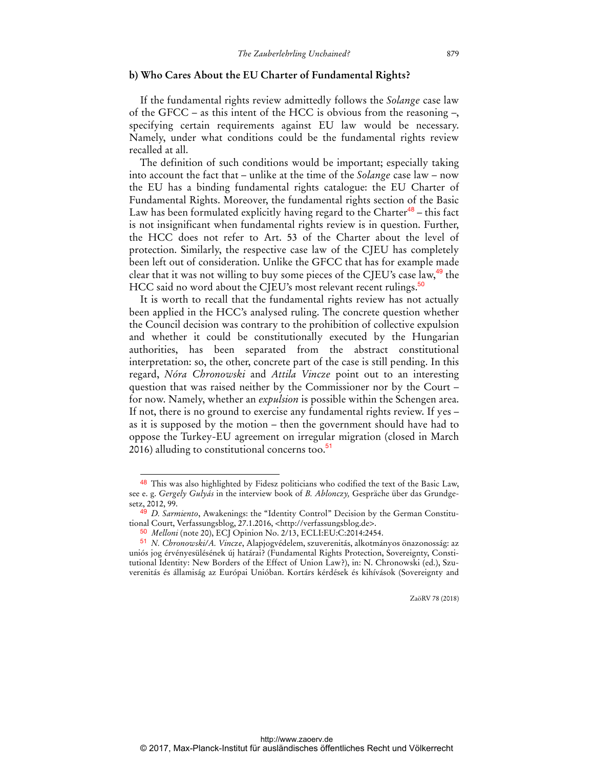#### **b) Who Cares About the EU Charter of Fundamental Rights?**

If the fundamental rights review admittedly follows the *Solange* case law of the GFCC – as this intent of the HCC is obvious from the reasoning –, specifying certain requirements against EU law would be necessary. Namely, under what conditions could be the fundamental rights review recalled at all.

The definition of such conditions would be important; especially taking into account the fact that – unlike at the time of the *Solange* case law – now the EU has a binding fundamental rights catalogue: the EU Charter of Fundamental Rights. Moreover, the fundamental rights section of the Basic Law has been formulated explicitly having regard to the Charter<sup>48</sup> – this fact is not insignificant when fundamental rights review is in question. Further, the HCC does not refer to Art. 53 of the Charter about the level of protection. Similarly, the respective case law of the CJEU has completely been left out of consideration. Unlike the GFCC that has for example made clear that it was not willing to buy some pieces of the CJEU's case law,<sup>49</sup> the HCC said no word about the CJEU's most relevant recent rulings.<sup>50</sup>

It is worth to recall that the fundamental rights review has not actually been applied in the HCC's analysed ruling. The concrete question whether the Council decision was contrary to the prohibition of collective expulsion and whether it could be constitutionally executed by the Hungarian authorities, has been separated from the abstract constitutional interpretation: so, the other, concrete part of the case is still pending. In this regard, *Nóra Chronowski* and *Attila Vincze* point out to an interesting question that was raised neither by the Commissioner nor by the Court – for now. Namely, whether an *expulsion* is possible within the Schengen area. If not, there is no ground to exercise any fundamental rights review. If yes – as it is supposed by the motion – then the government should have had to oppose the Turkey-EU agreement on irregular migration (closed in March 2016) alluding to constitutional concerns too. $51$ 

 $\overline{a}$ 

<sup>48</sup> This was also highlighted by Fidesz politicians who codified the text of the Basic Law, see e. g. *Gergely Gulyás* in the interview book of *B. Ablonczy,* Gespräche über das Grundgesetz, 2012, 99.

<sup>49</sup> *D. Sarmiento*, Awakenings: the "Identity Control" Decision by the German Constitutional Court, Verfassungsblog, 27.1.2016, <http://verfassungsblog.de>.

<sup>50</sup> *Melloni* (note 20), ECJ Opinion No. 2/13, ECLI:EU:C:2014:2454.

<sup>51</sup> *N. Chronowski/A. Vincze*, Alapjogvédelem, szuverenitás, alkotmányos önazonosság: az uniós jog érvényesülésének új határai? (Fundamental Rights Protection, Sovereignty, Constitutional Identity: New Borders of the Effect of Union Law?), in: N. Chronowski (ed.), Szuverenitás és államiság az Európai Unióban. Kortárs kérdések és kihívások (Sovereignty and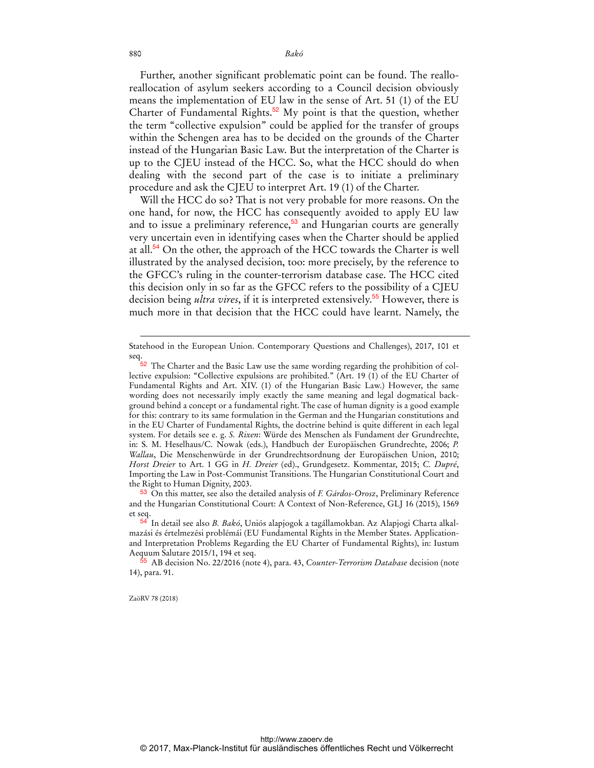880 *Bakó* 

Further, another significant problematic point can be found. The realloreallocation of asylum seekers according to a Council decision obviously means the implementation of EU law in the sense of Art. 51 (1) of the EU Charter of Fundamental Rights.<sup>52</sup> My point is that the question, whether the term "collective expulsion" could be applied for the transfer of groups within the Schengen area has to be decided on the grounds of the Charter instead of the Hungarian Basic Law. But the interpretation of the Charter is up to the CJEU instead of the HCC. So, what the HCC should do when dealing with the second part of the case is to initiate a preliminary procedure and ask the CJEU to interpret Art. 19 (1) of the Charter.

Will the HCC do so? That is not very probable for more reasons. On the one hand, for now, the HCC has consequently avoided to apply EU law and to issue a preliminary reference,<sup>53</sup> and Hungarian courts are generally very uncertain even in identifying cases when the Charter should be applied at all. $54$  On the other, the approach of the HCC towards the Charter is well illustrated by the analysed decision, too: more precisely, by the reference to the GFCC's ruling in the counter-terrorism database case. The HCC cited this decision only in so far as the GFCC refers to the possibility of a CJEU decision being *ultra vires*, if it is interpreted extensively.<sup>55</sup> However, there is much more in that decision that the HCC could have learnt. Namely, the

53 On this matter, see also the detailed analysis of *F. Gárdos-Orosz*, Preliminary Reference and the Hungarian Constitutional Court: A Context of Non-Reference, GLJ 16 (2015), 1569 et seq.

ZaöRV 78 (2018)

Statehood in the European Union. Contemporary Questions and Challenges), 2017, 101 et seq.

 $52$  The Charter and the Basic Law use the same wording regarding the prohibition of collective expulsion: "Collective expulsions are prohibited." (Art. 19 (1) of the EU Charter of Fundamental Rights and Art. XIV. (1) of the Hungarian Basic Law.) However, the same wording does not necessarily imply exactly the same meaning and legal dogmatical background behind a concept or a fundamental right. The case of human dignity is a good example for this: contrary to its same formulation in the German and the Hungarian constitutions and in the EU Charter of Fundamental Rights, the doctrine behind is quite different in each legal system. For details see e. g. *S. Rixen*: Würde des Menschen als Fundament der Grundrechte, in: S. M. Heselhaus/C. Nowak (eds.), Handbuch der Europäischen Grundrechte, 2006; *P. Wallau*, Die Menschenwürde in der Grundrechtsordnung der Europäischen Union, 2010; *Horst Dreier* to Art. 1 GG in *H. Dreier* (ed)., Grundgesetz. Kommentar, 2015; *C. Dupré*, Importing the Law in Post-Communist Transitions. The Hungarian Constitutional Court and the Right to Human Dignity, 2003.

<sup>54</sup> In detail see also *B. Bakó*, Uniós alapjogok a tagállamokban. Az Alapjogi Charta alkalmazási és értelmezési problémái (EU Fundamental Rights in the Member States. Applicationand Interpretation Problems Regarding the EU Charter of Fundamental Rights), in: Iustum Aequum Salutare 2015/1, 194 et seq.

<sup>55</sup> AB decision No. 22/2016 (note 4), para. 43, *Counter-Terrorism Database* decision (note 14), para. 91.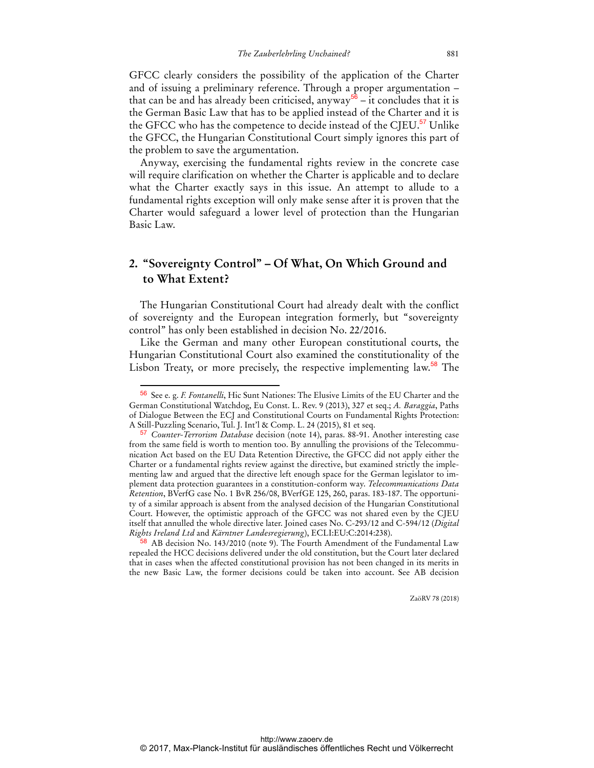GFCC clearly considers the possibility of the application of the Charter and of issuing a preliminary reference. Through a proper argumentation – that can be and has already been criticised, anyway<sup>56</sup> – it concludes that it is the German Basic Law that has to be applied instead of the Charter and it is the GFCC who has the competence to decide instead of the CJEU.<sup>57</sup> Unlike the GFCC, the Hungarian Constitutional Court simply ignores this part of the problem to save the argumentation.

Anyway, exercising the fundamental rights review in the concrete case will require clarification on whether the Charter is applicable and to declare what the Charter exactly says in this issue. An attempt to allude to a fundamental rights exception will only make sense after it is proven that the Charter would safeguard a lower level of protection than the Hungarian Basic Law.

## **2. "Sovereignty Control" – Of What, On Which Ground and to What Extent?**

The Hungarian Constitutional Court had already dealt with the conflict of sovereignty and the European integration formerly, but "sovereignty control" has only been established in decision No. 22/2016.

Like the German and many other European constitutional courts, the Hungarian Constitutional Court also examined the constitutionality of the Lisbon Treaty, or more precisely, the respective implementing law.<sup>58</sup> The

 $\overline{a}$ 

<sup>56</sup> See e. g. *F. Fontanelli*, Hic Sunt Nationes: The Elusive Limits of the EU Charter and the German Constitutional Watchdog, Eu Const. L. Rev. 9 (2013), 327 et seq.; *A. Baraggia*, Paths of Dialogue Between the ECJ and Constitutional Courts on Fundamental Rights Protection: A Still-Puzzling Scenario, Tul. J. Int'l & Comp. L. 24 (2015), 81 et seq.

<sup>57</sup> *Counter-Terrorism Database* decision (note 14), paras. 88-91. Another interesting case from the same field is worth to mention too. By annulling the provisions of the Telecommunication Act based on the EU Data Retention Directive, the GFCC did not apply either the Charter or a fundamental rights review against the directive, but examined strictly the implementing law and argued that the directive left enough space for the German legislator to implement data protection guarantees in a constitution-conform way. *Telecommunications Data Retention*, BVerfG case No. 1 BvR 256/08, BVerfGE 125, 260, paras. 183-187. The opportunity of a similar approach is absent from the analysed decision of the Hungarian Constitutional Court. However, the optimistic approach of the GFCC was not shared even by the CJEU itself that annulled the whole directive later. Joined cases No. C-293/12 and C-594/12 (*Digital Rights Ireland Ltd* and *Kärntner Landesregierung*), ECLI:EU:C:2014:238).

<sup>&</sup>lt;sup>58</sup> AB decision No. 143/2010 (note 9). The Fourth Amendment of the Fundamental Law repealed the HCC decisions delivered under the old constitution, but the Court later declared that in cases when the affected constitutional provision has not been changed in its merits in the new Basic Law, the former decisions could be taken into account. See AB decision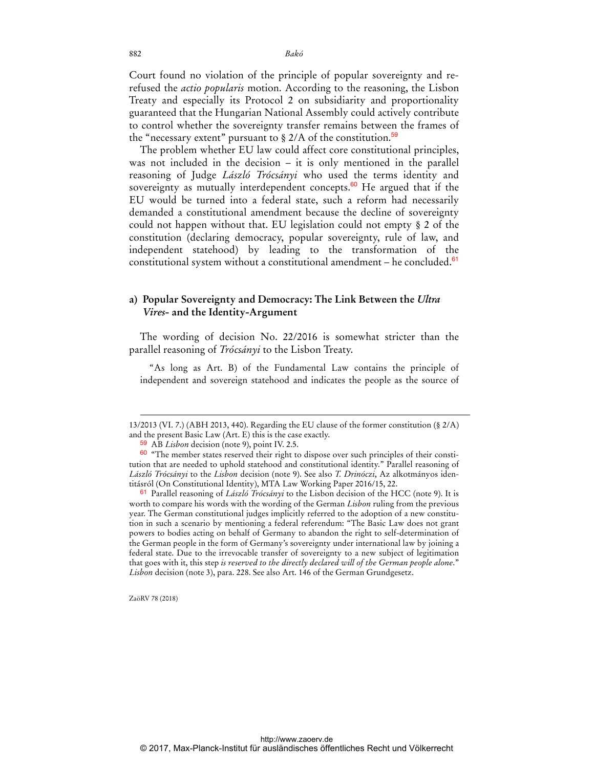Court found no violation of the principle of popular sovereignty and rerefused the *actio popularis* motion. According to the reasoning, the Lisbon Treaty and especially its Protocol 2 on subsidiarity and proportionality guaranteed that the Hungarian National Assembly could actively contribute to control whether the sovereignty transfer remains between the frames of the "necessary extent" pursuant to  $\S 2/A$  of the constitution.<sup>59</sup>

The problem whether EU law could affect core constitutional principles, was not included in the decision – it is only mentioned in the parallel reasoning of Judge *László Trócsányi* who used the terms identity and sovereignty as mutually interdependent concepts. $60$  He argued that if the EU would be turned into a federal state, such a reform had necessarily demanded a constitutional amendment because the decline of sovereignty could not happen without that. EU legislation could not empty § 2 of the constitution (declaring democracy, popular sovereignty, rule of law, and independent statehood) by leading to the transformation of the constitutional system without a constitutional amendment – he concluded. $61$ 

### **a) Popular Sovereignty and Democracy: The Link Between the** *Ultra Vires***- and the Identity-Argument**

The wording of decision No. 22/2016 is somewhat stricter than the parallel reasoning of *Trócsányi* to the Lisbon Treaty.

"As long as Art. B) of the Fundamental Law contains the principle of independent and sovereign statehood and indicates the people as the source of

ZaöRV 78 (2018)

<sup>13/2013 (</sup>VI. 7.) (ABH 2013, 440). Regarding the EU clause of the former constitution (§ 2/A) and the present Basic Law (Art. E) this is the case exactly.

<sup>59</sup> AB *Lisbon* decision (note 9), point IV. 2.5.

<sup>60</sup> "The member states reserved their right to dispose over such principles of their constitution that are needed to uphold statehood and constitutional identity." Parallel reasoning of *László Trócsányi* to the *Lisbon* decision (note 9). See also *T. Drinóczi*, Az alkotmányos identitásról (On Constitutional Identity), MTA Law Working Paper 2016/15, 22.

<sup>61</sup> Parallel reasoning of *László Trócsányi* to the Lisbon decision of the HCC (note 9). It is worth to compare his words with the wording of the German *Lisbon* ruling from the previous year. The German constitutional judges implicitly referred to the adoption of a new constitution in such a scenario by mentioning a federal referendum: "The Basic Law does not grant powers to bodies acting on behalf of Germany to abandon the right to self-determination of the German people in the form of Germany's sovereignty under international law by joining a federal state. Due to the irrevocable transfer of sovereignty to a new subject of legitimation that goes with it, this step *is reserved to the directly declared will of the German people alone*." *Lisbon* decision (note 3), para. 228. See also Art. 146 of the German Grundgesetz.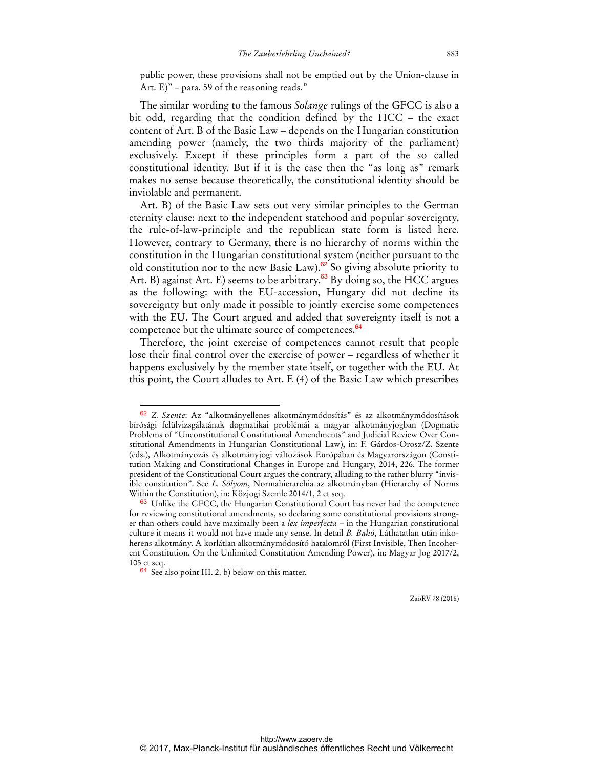public power, these provisions shall not be emptied out by the Union-clause in Art.  $E$ )" – para. 59 of the reasoning reads."

The similar wording to the famous *Solange* rulings of the GFCC is also a bit odd, regarding that the condition defined by the HCC – the exact content of Art. B of the Basic Law – depends on the Hungarian constitution amending power (namely, the two thirds majority of the parliament) exclusively. Except if these principles form a part of the so called constitutional identity. But if it is the case then the "as long as" remark makes no sense because theoretically, the constitutional identity should be inviolable and permanent.

Art. B) of the Basic Law sets out very similar principles to the German eternity clause: next to the independent statehood and popular sovereignty, the rule-of-law-principle and the republican state form is listed here. However, contrary to Germany, there is no hierarchy of norms within the constitution in the Hungarian constitutional system (neither pursuant to the old constitution nor to the new Basic Law).<sup>62</sup> So giving absolute priority to Art. B) against Art. E) seems to be arbitrary.<sup>63</sup> By doing so, the HCC argues as the following: with the EU-accession, Hungary did not decline its sovereignty but only made it possible to jointly exercise some competences with the EU. The Court argued and added that sovereignty itself is not a competence but the ultimate source of competences.<sup>64</sup>

Therefore, the joint exercise of competences cannot result that people lose their final control over the exercise of power – regardless of whether it happens exclusively by the member state itself, or together with the EU. At this point, the Court alludes to Art. E (4) of the Basic Law which prescribes

 $\ddot{ }$ 

<sup>62</sup> *Z. Szente*: Az "alkotmányellenes alkotmánymódosítás" és az alkotmánymódosítások bírósági felülvizsgálatának dogmatikai problémái a magyar alkotmányjogban (Dogmatic Problems of "Unconstitutional Constitutional Amendments" and Judicial Review Over Constitutional Amendments in Hungarian Constitutional Law), in: F. Gárdos-Orosz/Z. Szente (eds.), Alkotmányozás és alkotmányjogi változások Európában és Magyarországon (Constitution Making and Constitutional Changes in Europe and Hungary, 2014, 226. The former president of the Constitutional Court argues the contrary, alluding to the rather blurry "invisible constitution". See *L. Sólyom*, Normahierarchia az alkotmányban (Hierarchy of Norms Within the Constitution), in: Közjogi Szemle 2014/1, 2 et seq.

<sup>&</sup>lt;sup>63</sup> Unlike the GFCC, the Hungarian Constitutional Court has never had the competence for reviewing constitutional amendments, so declaring some constitutional provisions stronger than others could have maximally been a *lex imperfecta* – in the Hungarian constitutional culture it means it would not have made any sense. In detail *B. Bakó*, Láthatatlan után inkoherens alkotmány. A korlátlan alkotmánymódosító hatalomról (First Invisible, Then Incoherent Constitution. On the Unlimited Constitution Amending Power), in: Magyar Jog 2017/2, 105 et seq.

<sup>64</sup> See also point III. 2. b) below on this matter.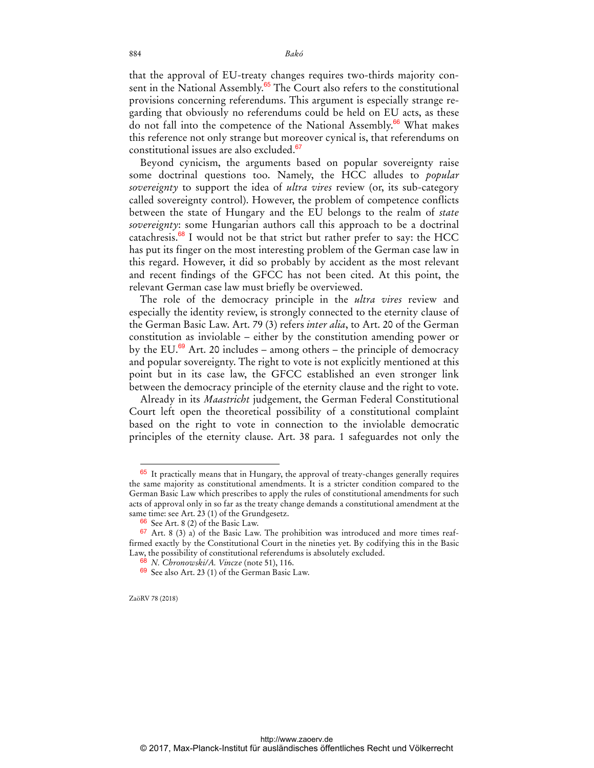that the approval of EU-treaty changes requires two-thirds majority consent in the National Assembly.<sup>65</sup> The Court also refers to the constitutional provisions concerning referendums. This argument is especially strange regarding that obviously no referendums could be held on EU acts, as these do not fall into the competence of the National Assembly.<sup>66</sup> What makes this reference not only strange but moreover cynical is, that referendums on constitutional issues are also excluded.<sup>67</sup>

Beyond cynicism, the arguments based on popular sovereignty raise some doctrinal questions too. Namely, the HCC alludes to *popular sovereignty* to support the idea of *ultra vires* review (or, its sub-category called sovereignty control). However, the problem of competence conflicts between the state of Hungary and the EU belongs to the realm of *state sovereignty*: some Hungarian authors call this approach to be a doctrinal catachresis. $68$  I would not be that strict but rather prefer to say: the HCC has put its finger on the most interesting problem of the German case law in this regard. However, it did so probably by accident as the most relevant and recent findings of the GFCC has not been cited. At this point, the relevant German case law must briefly be overviewed.

The role of the democracy principle in the *ultra vires* review and especially the identity review, is strongly connected to the eternity clause of the German Basic Law. Art. 79 (3) refers *inter alia*, to Art. 20 of the German constitution as inviolable – either by the constitution amending power or by the EU. $^{69}$  Art. 20 includes – among others – the principle of democracy and popular sovereignty. The right to vote is not explicitly mentioned at this point but in its case law, the GFCC established an even stronger link between the democracy principle of the eternity clause and the right to vote.

Already in its *Maastricht* judgement, the German Federal Constitutional Court left open the theoretical possibility of a constitutional complaint based on the right to vote in connection to the inviolable democratic principles of the eternity clause. Art. 38 para. 1 safeguardes not only the

<sup>65</sup> It practically means that in Hungary, the approval of treaty-changes generally requires the same majority as constitutional amendments. It is a stricter condition compared to the German Basic Law which prescribes to apply the rules of constitutional amendments for such acts of approval only in so far as the treaty change demands a constitutional amendment at the same time: see Art. 23 (1) of the Grundgesetz.

<sup>66</sup> See Art. 8 (2) of the Basic Law.

<sup>67</sup> Art. 8 (3) a) of the Basic Law. The prohibition was introduced and more times reaffirmed exactly by the Constitutional Court in the nineties yet. By codifying this in the Basic Law, the possibility of constitutional referendums is absolutely excluded.

<sup>68</sup> *N. Chronowski/A. Vincze* (note 51), 116.

<sup>69</sup> See also Art. 23 (1) of the German Basic Law.

ZaöRV 78 (2018)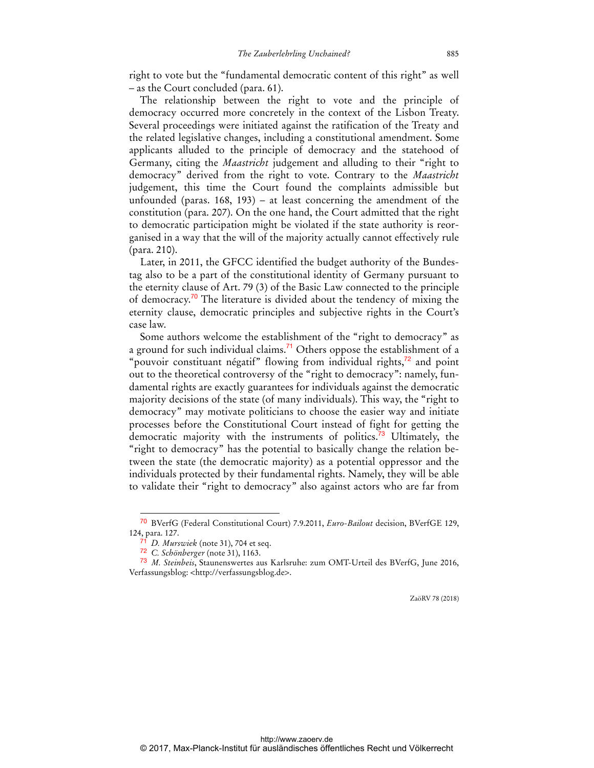right to vote but the "fundamental democratic content of this right" as well – as the Court concluded (para. 61).

The relationship between the right to vote and the principle of democracy occurred more concretely in the context of the Lisbon Treaty. Several proceedings were initiated against the ratification of the Treaty and the related legislative changes, including a constitutional amendment. Some applicants alluded to the principle of democracy and the statehood of Germany, citing the *Maastricht* judgement and alluding to their "right to democracy" derived from the right to vote. Contrary to the *Maastricht* judgement, this time the Court found the complaints admissible but unfounded (paras. 168, 193) – at least concerning the amendment of the constitution (para. 207). On the one hand, the Court admitted that the right to democratic participation might be violated if the state authority is reorganised in a way that the will of the majority actually cannot effectively rule (para. 210).

Later, in 2011, the GFCC identified the budget authority of the Bundestag also to be a part of the constitutional identity of Germany pursuant to the eternity clause of Art. 79 (3) of the Basic Law connected to the principle of democracy.<sup>70</sup> The literature is divided about the tendency of mixing the eternity clause, democratic principles and subjective rights in the Court's case law.

Some authors welcome the establishment of the "right to democracy" as a ground for such individual claims.<sup>71</sup> Others oppose the establishment of a "pouvoir constituant négatif" flowing from individual rights, $72$  and point out to the theoretical controversy of the "right to democracy": namely, fundamental rights are exactly guarantees for individuals against the democratic majority decisions of the state (of many individuals). This way, the "right to democracy" may motivate politicians to choose the easier way and initiate processes before the Constitutional Court instead of fight for getting the democratic majority with the instruments of politics.<sup>73</sup> Ultimately, the "right to democracy" has the potential to basically change the relation between the state (the democratic majority) as a potential oppressor and the individuals protected by their fundamental rights. Namely, they will be able to validate their "right to democracy" also against actors who are far from

<sup>70</sup> BVerfG (Federal Constitutional Court) 7.9.2011, *Euro-Bailout* decision, BVerfGE 129, 124, para. 127.

<sup>71</sup> *D. Murswiek* (note 31), 704 et seq.

<sup>72</sup> *C. Schönberger* (note 31), 1163.

<sup>73</sup> *M. Steinbeis*, Staunenswertes aus Karlsruhe: zum OMT-Urteil des BVerfG, June 2016, Verfassungsblog: <http://verfassungsblog.de>.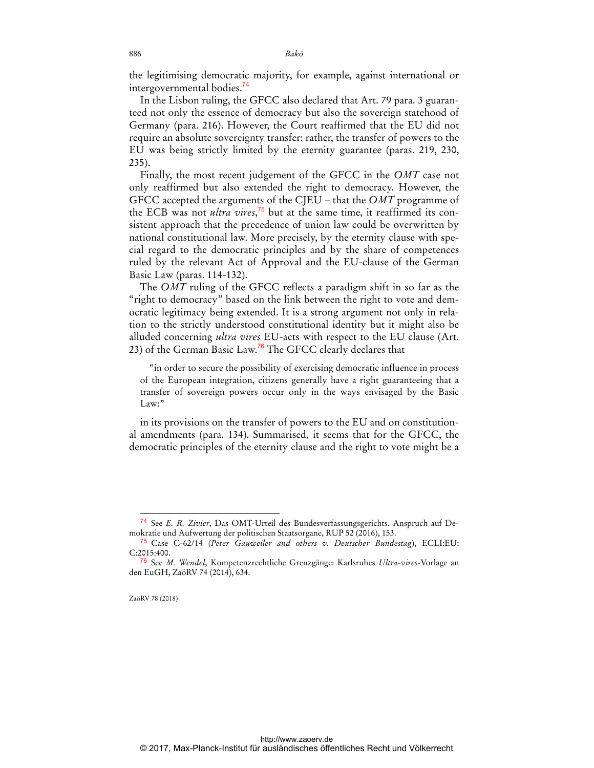the legitimising democratic majority, for example, against international or intergovernmental bodies.<sup>74</sup>

In the Lisbon ruling, the GFCC also declared that Art. 79 para. 3 guaranteed not only the essence of democracy but also the sovereign statehood of Germany (para. 216). However, the Court reaffirmed that the EU did not require an absolute sovereignty transfer: rather, the transfer of powers to the EU was being strictly limited by the eternity guarantee (paras. 219, 230, 235).

Finally, the most recent judgement of the GFCC in the *OMT* case not only reaffirmed but also extended the right to democracy. However, the GFCC accepted the arguments of the CJEU – that the *OMT* programme of the ECB was not *ultra vires*, 75 but at the same time, it reaffirmed its consistent approach that the precedence of union law could be overwritten by national constitutional law. More precisely, by the eternity clause with special regard to the democratic principles and by the share of competences ruled by the relevant Act of Approval and the EU-clause of the German Basic Law (paras. 114-132).

The *OMT* ruling of the GFCC reflects a paradigm shift in so far as the "right to democracy" based on the link between the right to vote and democratic legitimacy being extended. It is a strong argument not only in relation to the strictly understood constitutional identity but it might also be alluded concerning *ultra vires* EU-acts with respect to the EU clause (Art. 23) of the German Basic Law.<sup>76</sup> The GFCC clearly declares that

"in order to secure the possibility of exercising democratic influence in process of the European integration, citizens generally have a right guaranteeing that a transfer of sovereign powers occur only in the ways envisaged by the Basic Law:"

in its provisions on the transfer of powers to the EU and on constitutional amendments (para. 134). Summarised, it seems that for the GFCC, the democratic principles of the eternity clause and the right to vote might be a

ZaöRV 78 (2018)

<sup>74</sup> See *E. R. Zivier*, Das OMT-Urteil des Bundesverfassungsgerichts. Anspruch auf Demokratie und Aufwertung der politischen Staatsorgane, RUP 52 (2016), 153.

<sup>75</sup> Case C-62/14 (*Peter Gauweiler and others v. Deutscher Bundestag*), ECLI:EU: C:2015:400.

<sup>76</sup> See *M. Wendel*, Kompetenzrechtliche Grenzgänge: Karlsruhes *Ultra-vires*-Vorlage an den EuGH, ZaöRV 74 (2014), 634.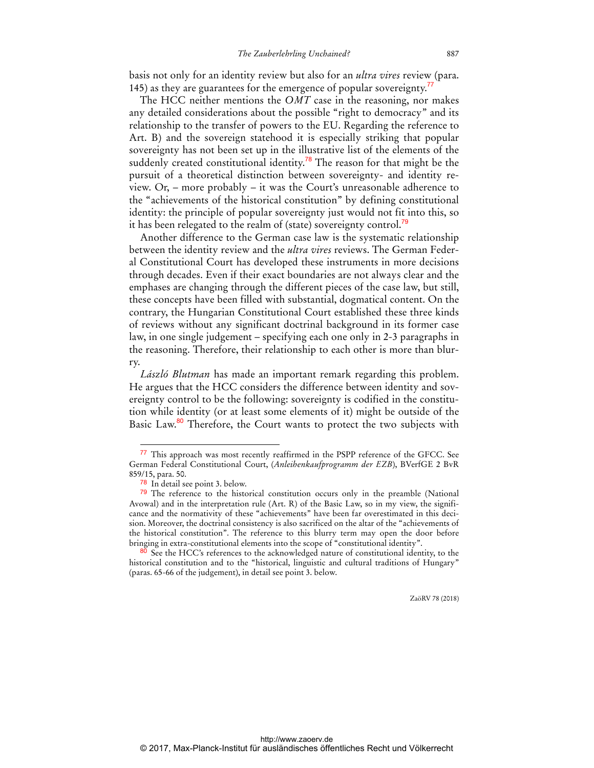basis not only for an identity review but also for an *ultra vires* review (para. 145) as they are guarantees for the emergence of popular sovereignty.<sup>77</sup>

The HCC neither mentions the *OMT* case in the reasoning, nor makes any detailed considerations about the possible "right to democracy" and its relationship to the transfer of powers to the EU. Regarding the reference to Art. B) and the sovereign statehood it is especially striking that popular sovereignty has not been set up in the illustrative list of the elements of the suddenly created constitutional identity.<sup>78</sup> The reason for that might be the pursuit of a theoretical distinction between sovereignty- and identity review. Or, – more probably – it was the Court's unreasonable adherence to the "achievements of the historical constitution" by defining constitutional identity: the principle of popular sovereignty just would not fit into this, so it has been relegated to the realm of (state) sovereignty control.<sup>79</sup>

Another difference to the German case law is the systematic relationship between the identity review and the *ultra vires* reviews. The German Federal Constitutional Court has developed these instruments in more decisions through decades. Even if their exact boundaries are not always clear and the emphases are changing through the different pieces of the case law, but still, these concepts have been filled with substantial, dogmatical content. On the contrary, the Hungarian Constitutional Court established these three kinds of reviews without any significant doctrinal background in its former case law, in one single judgement – specifying each one only in 2-3 paragraphs in the reasoning. Therefore, their relationship to each other is more than blurry.

*László Blutman* has made an important remark regarding this problem. He argues that the HCC considers the difference between identity and sovereignty control to be the following: sovereignty is codified in the constitution while identity (or at least some elements of it) might be outside of the Basic Law.<sup>80</sup> Therefore, the Court wants to protect the two subjects with

<sup>77</sup> This approach was most recently reaffirmed in the PSPP reference of the GFCC. See German Federal Constitutional Court, (*Anleihenkaufprogramm der EZB*), BVerfGE 2 BvR 859/15, para. 50.

<sup>78</sup> In detail see point 3. below.

 $79$  The reference to the historical constitution occurs only in the preamble (National Avowal) and in the interpretation rule (Art. R) of the Basic Law, so in my view, the significance and the normativity of these "achievements" have been far overestimated in this decision. Moreover, the doctrinal consistency is also sacrificed on the altar of the "achievements of the historical constitution". The reference to this blurry term may open the door before bringing in extra-constitutional elements into the scope of "constitutional identity".

<sup>&</sup>lt;sup>80</sup> See the HCC's references to the acknowledged nature of constitutional identity, to the historical constitution and to the "historical, linguistic and cultural traditions of Hungary" (paras. 65-66 of the judgement), in detail see point 3. below.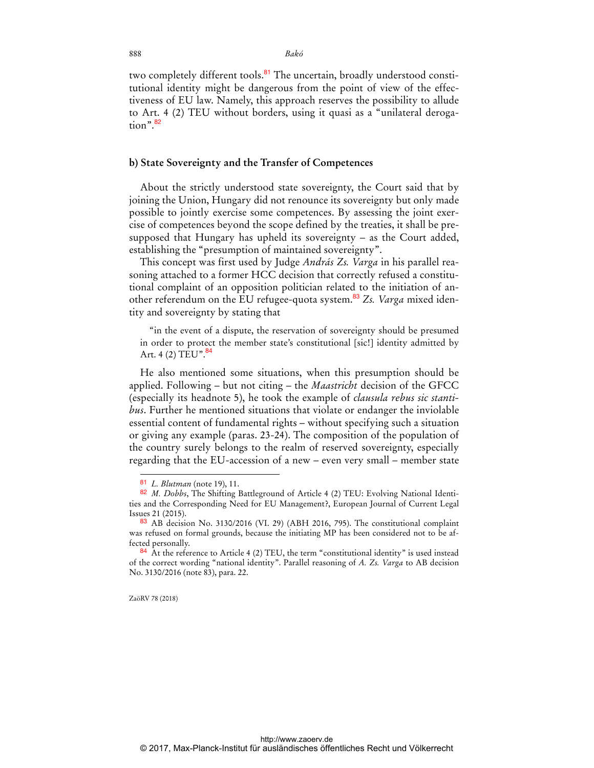888 *Bakó* 

two completely different tools.<sup>81</sup> The uncertain, broadly understood constitutional identity might be dangerous from the point of view of the effectiveness of EU law. Namely, this approach reserves the possibility to allude to Art. 4 (2) TEU without borders, using it quasi as a "unilateral derogation".<sup>82</sup>

#### **b) State Sovereignty and the Transfer of Competences**

About the strictly understood state sovereignty, the Court said that by joining the Union, Hungary did not renounce its sovereignty but only made possible to jointly exercise some competences. By assessing the joint exercise of competences beyond the scope defined by the treaties, it shall be presupposed that Hungary has upheld its sovereignty – as the Court added, establishing the "presumption of maintained sovereignty".

This concept was first used by Judge *András Zs. Varga* in his parallel reasoning attached to a former HCC decision that correctly refused a constitutional complaint of an opposition politician related to the initiation of another referendum on the EU refugee-quota system.<sup>83</sup> Zs. Varga mixed identity and sovereignty by stating that

"in the event of a dispute, the reservation of sovereignty should be presumed in order to protect the member state's constitutional [sic!] identity admitted by Art. 4 (2) TEU".  $84$ 

He also mentioned some situations, when this presumption should be applied. Following – but not citing – the *Maastricht* decision of the GFCC (especially its headnote 5), he took the example of *clausula rebus sic stantibus*. Further he mentioned situations that violate or endanger the inviolable essential content of fundamental rights – without specifying such a situation or giving any example (paras. 23-24). The composition of the population of the country surely belongs to the realm of reserved sovereignty, especially regarding that the EU-accession of a new – even very small – member state

ZaöRV 78 (2018)

<sup>81</sup> *L. Blutman* (note 19), 11.

<sup>82</sup> *M. Dobbs*, The Shifting Battleground of Article 4 (2) TEU: Evolving National Identities and the Corresponding Need for EU Management?, European Journal of Current Legal Issues 21 (2015).

<sup>83</sup> AB decision No. 3130/2016 (VI. 29) (ABH 2016, 795). The constitutional complaint was refused on formal grounds, because the initiating MP has been considered not to be affected personally.

 $84$  At the reference to Article 4 (2) TEU, the term "constitutional identity" is used instead of the correct wording "national identity". Parallel reasoning of *A. Zs. Varga* to AB decision No. 3130/2016 (note 83), para. 22.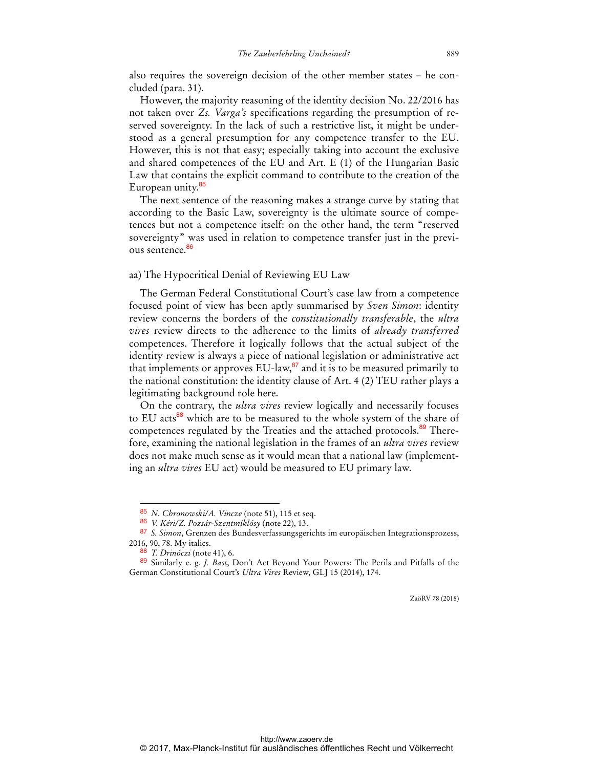also requires the sovereign decision of the other member states – he concluded (para. 31).

However, the majority reasoning of the identity decision No. 22/2016 has not taken over *Zs. Varga's* specifications regarding the presumption of reserved sovereignty. In the lack of such a restrictive list, it might be understood as a general presumption for any competence transfer to the EU. However, this is not that easy; especially taking into account the exclusive and shared competences of the EU and Art. E (1) of the Hungarian Basic Law that contains the explicit command to contribute to the creation of the European unity.<sup>85</sup>

The next sentence of the reasoning makes a strange curve by stating that according to the Basic Law, sovereignty is the ultimate source of competences but not a competence itself: on the other hand, the term "reserved sovereignty" was used in relation to competence transfer just in the previous sentence.<sup>86</sup>

#### aa) The Hypocritical Denial of Reviewing EU Law

The German Federal Constitutional Court's case law from a competence focused point of view has been aptly summarised by *Sven Simon*: identity review concerns the borders of the *constitutionally transferable*, the *ultra vires* review directs to the adherence to the limits of *already transferred* competences. Therefore it logically follows that the actual subject of the identity review is always a piece of national legislation or administrative act that implements or approves  $EU$ -law, $^{87}$  and it is to be measured primarily to the national constitution: the identity clause of Art. 4 (2) TEU rather plays a legitimating background role here.

On the contrary, the *ultra vires* review logically and necessarily focuses to EU acts<sup>88</sup> which are to be measured to the whole system of the share of competences regulated by the Treaties and the attached protocols.<sup>89</sup> Therefore, examining the national legislation in the frames of an *ultra vires* review does not make much sense as it would mean that a national law (implementing an *ultra vires* EU act) would be measured to EU primary law.

 $\overline{a}$ 

<sup>85</sup> *N. Chronowski/A. Vincze* (note 51), 115 et seq.

<sup>86</sup> *V. Kéri/Z. Pozsár-Szentmiklósy* (note 22), 13.

<sup>87</sup> *S. Simon*, Grenzen des Bundesverfassungsgerichts im europäischen Integrationsprozess, 2016, 90, 78. My italics.

<sup>88</sup> *T. Drinóczi* (note 41), 6.

<sup>89</sup> Similarly e. g. *J. Bast*, Don't Act Beyond Your Powers: The Perils and Pitfalls of the German Constitutional Court's *Ultra Vires* Review, GLJ 15 (2014), 174.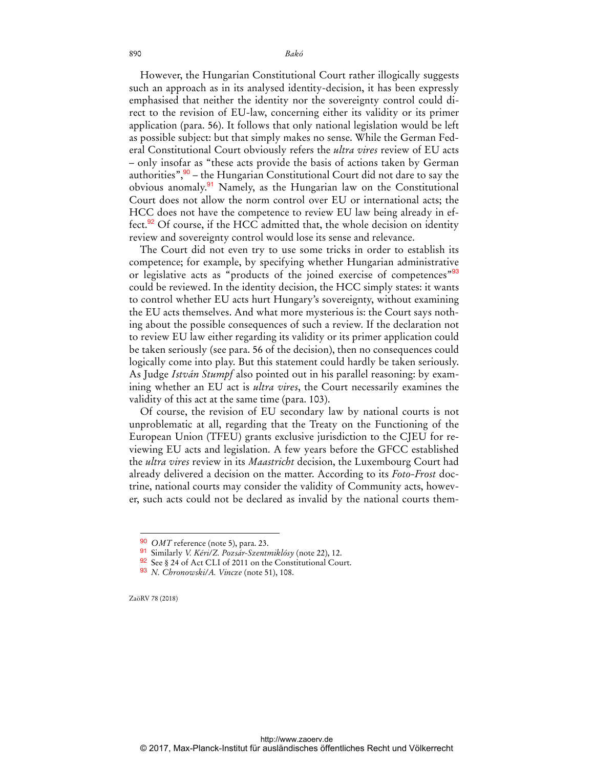890 *Bakó* 

However, the Hungarian Constitutional Court rather illogically suggests such an approach as in its analysed identity-decision, it has been expressly emphasised that neither the identity nor the sovereignty control could direct to the revision of EU-law, concerning either its validity or its primer application (para. 56). It follows that only national legislation would be left as possible subject: but that simply makes no sense. While the German Federal Constitutional Court obviously refers the *ultra vires* review of EU acts – only insofar as "these acts provide the basis of actions taken by German authorities", $90 -$  the Hungarian Constitutional Court did not dare to say the obvious anomaly.<sup>91</sup> Namely, as the Hungarian law on the Constitutional Court does not allow the norm control over EU or international acts; the HCC does not have the competence to review EU law being already in effect.<sup>92</sup> Of course, if the HCC admitted that, the whole decision on identity review and sovereignty control would lose its sense and relevance.

The Court did not even try to use some tricks in order to establish its competence; for example, by specifying whether Hungarian administrative or legislative acts as "products of the joined exercise of competences"<sup>93</sup> could be reviewed. In the identity decision, the HCC simply states: it wants to control whether EU acts hurt Hungary's sovereignty, without examining the EU acts themselves. And what more mysterious is: the Court says nothing about the possible consequences of such a review. If the declaration not to review EU law either regarding its validity or its primer application could be taken seriously (see para. 56 of the decision), then no consequences could logically come into play. But this statement could hardly be taken seriously. As Judge *István Stumpf* also pointed out in his parallel reasoning: by examining whether an EU act is *ultra vires*, the Court necessarily examines the validity of this act at the same time (para. 103).

Of course, the revision of EU secondary law by national courts is not unproblematic at all, regarding that the Treaty on the Functioning of the European Union (TFEU) grants exclusive jurisdiction to the CJEU for reviewing EU acts and legislation. A few years before the GFCC established the *ultra vires* review in its *Maastricht* decision, the Luxembourg Court had already delivered a decision on the matter. According to its *Foto-Frost* doctrine, national courts may consider the validity of Community acts, however, such acts could not be declared as invalid by the national courts them-

ZaöRV 78 (2018)

<sup>90</sup> *OMT* reference (note 5), para. 23.

<sup>91</sup> Similarly *V. Kéri/Z. Pozsár-Szentmiklósy* (note 22), 12.

<sup>92</sup> See § 24 of Act CLI of 2011 on the Constitutional Court.

<sup>93</sup> *N. Chronowski/A. Vincze* (note 51), 108.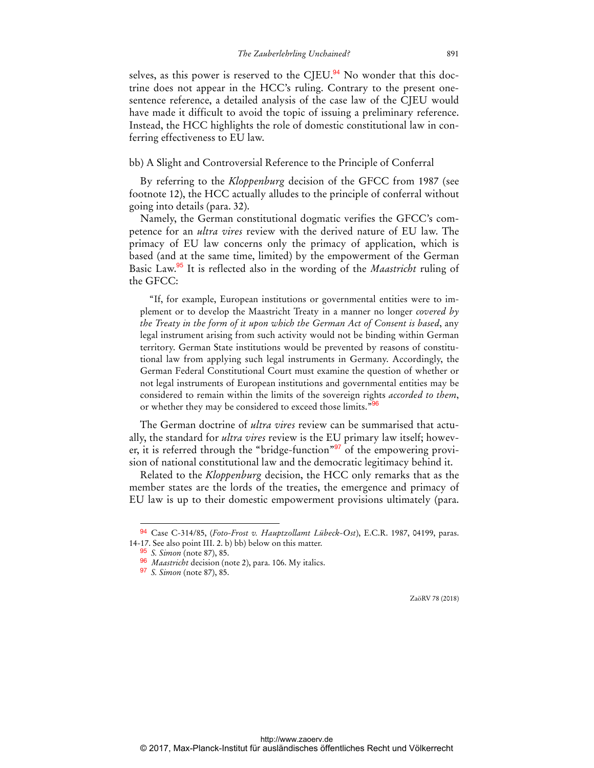selves, as this power is reserved to the CJEU.<sup>94</sup> No wonder that this doctrine does not appear in the HCC's ruling. Contrary to the present onesentence reference, a detailed analysis of the case law of the CJEU would have made it difficult to avoid the topic of issuing a preliminary reference. Instead, the HCC highlights the role of domestic constitutional law in conferring effectiveness to EU law.

bb) A Slight and Controversial Reference to the Principle of Conferral

By referring to the *Kloppenburg* decision of the GFCC from 1987 (see footnote 12), the HCC actually alludes to the principle of conferral without going into details (para. 32).

Namely, the German constitutional dogmatic verifies the GFCC's competence for an *ultra vires* review with the derived nature of EU law. The primacy of EU law concerns only the primacy of application, which is based (and at the same time, limited) by the empowerment of the German Basic Law.<sup>95</sup> It is reflected also in the wording of the *Maastricht* ruling of the GFCC:

"If, for example, European institutions or governmental entities were to implement or to develop the Maastricht Treaty in a manner no longer *covered by the Treaty in the form of it upon which the German Act of Consent is based*, any legal instrument arising from such activity would not be binding within German territory. German State institutions would be prevented by reasons of constitutional law from applying such legal instruments in Germany. Accordingly, the German Federal Constitutional Court must examine the question of whether or not legal instruments of European institutions and governmental entities may be considered to remain within the limits of the sovereign rights *accorded to them*, or whether they may be considered to exceed those limits."<sup>96</sup>

The German doctrine of *ultra vires* review can be summarised that actually, the standard for *ultra vires* review is the EU primary law itself; however, it is referred through the "bridge-function"<sup>97</sup> of the empowering provision of national constitutional law and the democratic legitimacy behind it.

Related to the *Kloppenburg* decision, the HCC only remarks that as the member states are the lords of the treaties, the emergence and primacy of EU law is up to their domestic empowerment provisions ultimately (para.

 $\overline{a}$ 

<sup>94</sup> Case C-314/85, (*Foto-Frost v. Hauptzollamt Lübeck-Ost*), E.C.R. 1987, 04199, paras. 14-17. See also point III. 2. b) bb) below on this matter.

<sup>95</sup> *S. Simon* (note 87), 85.

<sup>96</sup> *Maastricht* decision (note 2), para. 106. My italics.

<sup>97</sup> *S. Simon* (note 87), 85.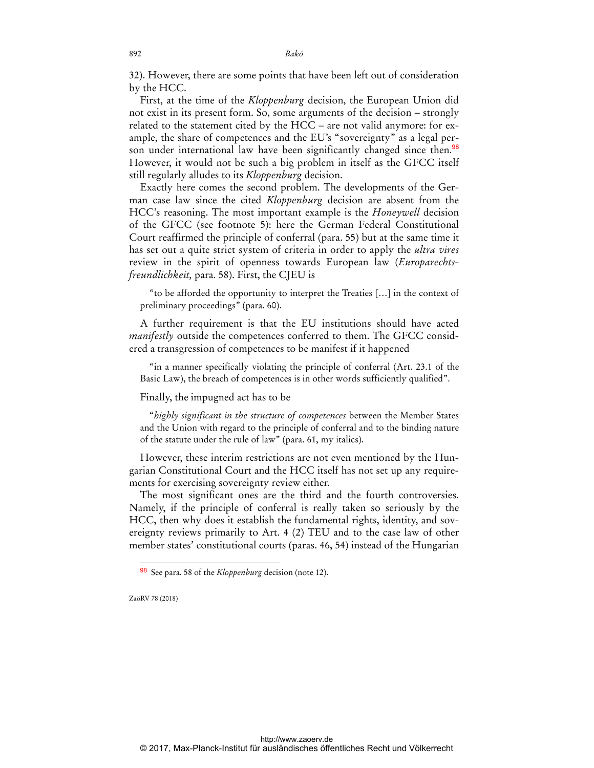32). However, there are some points that have been left out of consideration by the HCC.

First, at the time of the *Kloppenburg* decision, the European Union did not exist in its present form. So, some arguments of the decision – strongly related to the statement cited by the HCC – are not valid anymore: for example, the share of competences and the EU's "sovereignty" as a legal person under international law have been significantly changed since then.<sup>98</sup> However, it would not be such a big problem in itself as the GFCC itself still regularly alludes to its *Kloppenburg* decision.

Exactly here comes the second problem. The developments of the German case law since the cited *Kloppenburg* decision are absent from the HCC's reasoning. The most important example is the *Honeywell* decision of the GFCC (see footnote 5): here the German Federal Constitutional Court reaffirmed the principle of conferral (para. 55) but at the same time it has set out a quite strict system of criteria in order to apply the *ultra vires* review in the spirit of openness towards European law (*Europarechtsfreundlichkeit,* para. 58). First, the CJEU is

"to be afforded the opportunity to interpret the Treaties […] in the context of preliminary proceedings" (para. 60).

A further requirement is that the EU institutions should have acted *manifestly* outside the competences conferred to them. The GFCC considered a transgression of competences to be manifest if it happened

"in a manner specifically violating the principle of conferral (Art. 23.1 of the Basic Law), the breach of competences is in other words sufficiently qualified".

Finally, the impugned act has to be

"*highly significant in the structure of competences* between the Member States and the Union with regard to the principle of conferral and to the binding nature of the statute under the rule of law" (para. 61, my italics).

However, these interim restrictions are not even mentioned by the Hungarian Constitutional Court and the HCC itself has not set up any requirements for exercising sovereignty review either.

The most significant ones are the third and the fourth controversies. Namely, if the principle of conferral is really taken so seriously by the HCC, then why does it establish the fundamental rights, identity, and sovereignty reviews primarily to Art. 4 (2) TEU and to the case law of other member states' constitutional courts (paras. 46, 54) instead of the Hungarian

ZaöRV 78 (2018)

 $\ddot{ }$ 

<sup>98</sup> See para. 58 of the *Kloppenburg* decision (note 12).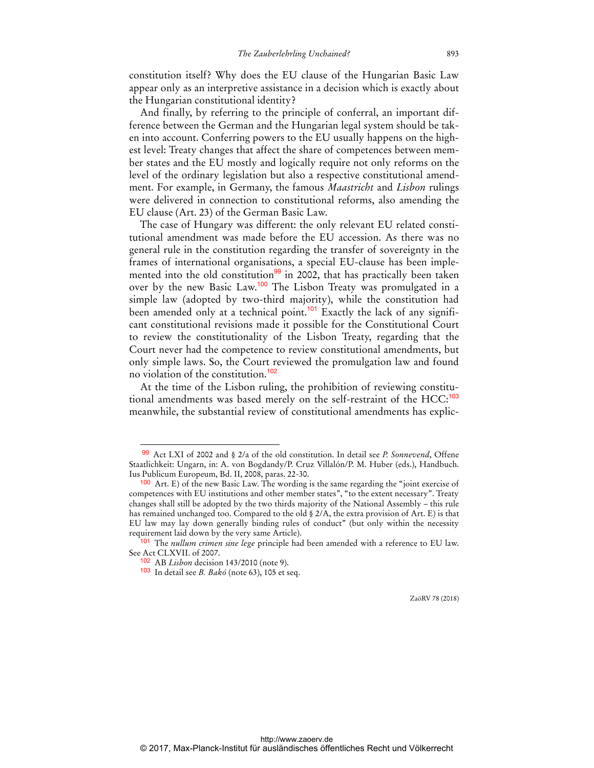constitution itself? Why does the EU clause of the Hungarian Basic Law appear only as an interpretive assistance in a decision which is exactly about the Hungarian constitutional identity?

And finally, by referring to the principle of conferral, an important difference between the German and the Hungarian legal system should be taken into account. Conferring powers to the EU usually happens on the highest level: Treaty changes that affect the share of competences between member states and the EU mostly and logically require not only reforms on the level of the ordinary legislation but also a respective constitutional amendment. For example, in Germany, the famous *Maastricht* and *Lisbon* rulings were delivered in connection to constitutional reforms, also amending the EU clause (Art. 23) of the German Basic Law.

The case of Hungary was different: the only relevant EU related constitutional amendment was made before the EU accession. As there was no general rule in the constitution regarding the transfer of sovereignty in the frames of international organisations, a special EU-clause has been implemented into the old constitution $99$  in 2002, that has practically been taken over by the new Basic Law.<sup>100</sup> The Lisbon Treaty was promulgated in a simple law (adopted by two-third majority), while the constitution had been amended only at a technical point.<sup>101</sup> Exactly the lack of any significant constitutional revisions made it possible for the Constitutional Court to review the constitutionality of the Lisbon Treaty, regarding that the Court never had the competence to review constitutional amendments, but only simple laws. So, the Court reviewed the promulgation law and found no violation of the constitution.<sup>102</sup>

At the time of the Lisbon ruling, the prohibition of reviewing constitutional amendments was based merely on the self-restraint of the HCC:<sup>103</sup> meanwhile, the substantial review of constitutional amendments has explic-

 $\overline{a}$ 

<sup>99</sup> Act LXI of 2002 and § 2/a of the old constitution. In detail see *P. Sonnevend*, Offene Staatlichkeit: Ungarn, in: A. von Bogdandy/P. Cruz Villalón/P. M. Huber (eds.), Handbuch. Ius Publicum Europeum, Bd. II, 2008, paras. 22-30.

 $100$  Art. E) of the new Basic Law. The wording is the same regarding the "joint exercise of competences with EU institutions and other member states", "to the extent necessary". Treaty changes shall still be adopted by the two thirds majority of the National Assembly – this rule has remained unchanged too. Compared to the old § 2/A, the extra provision of Art. E) is that EU law may lay down generally binding rules of conduct" (but only within the necessity requirement laid down by the very same Article).

<sup>101</sup> The *nullum crimen sine lege* principle had been amended with a reference to EU law. See Act CLXVII. of 2007.

<sup>102</sup> AB *Lisbon* decision 143/2010 (note 9).

<sup>103</sup> In detail see *B. Bakó* (note 63), 105 et seq.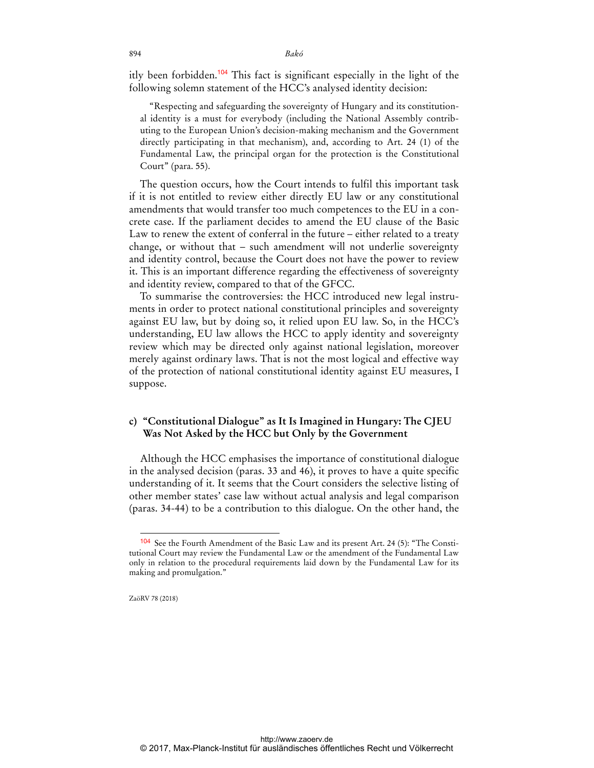894 *Bakó* 

itly been forbidden.<sup>104</sup> This fact is significant especially in the light of the following solemn statement of the HCC's analysed identity decision:

"Respecting and safeguarding the sovereignty of Hungary and its constitutional identity is a must for everybody (including the National Assembly contributing to the European Union's decision-making mechanism and the Government directly participating in that mechanism), and, according to Art. 24 (1) of the Fundamental Law, the principal organ for the protection is the Constitutional Court" (para. 55).

The question occurs, how the Court intends to fulfil this important task if it is not entitled to review either directly EU law or any constitutional amendments that would transfer too much competences to the EU in a concrete case. If the parliament decides to amend the EU clause of the Basic Law to renew the extent of conferral in the future – either related to a treaty change, or without that – such amendment will not underlie sovereignty and identity control, because the Court does not have the power to review it. This is an important difference regarding the effectiveness of sovereignty and identity review, compared to that of the GFCC.

To summarise the controversies: the HCC introduced new legal instruments in order to protect national constitutional principles and sovereignty against EU law, but by doing so, it relied upon EU law. So, in the HCC's understanding, EU law allows the HCC to apply identity and sovereignty review which may be directed only against national legislation, moreover merely against ordinary laws. That is not the most logical and effective way of the protection of national constitutional identity against EU measures, I suppose.

### **c) "Constitutional Dialogue" as It Is Imagined in Hungary: The CJEU Was Not Asked by the HCC but Only by the Government**

Although the HCC emphasises the importance of constitutional dialogue in the analysed decision (paras. 33 and 46), it proves to have a quite specific understanding of it. It seems that the Court considers the selective listing of other member states' case law without actual analysis and legal comparison (paras. 34-44) to be a contribution to this dialogue. On the other hand, the

ZaöRV 78 (2018)

 $\ddot{ }$ 

<sup>104</sup> See the Fourth Amendment of the Basic Law and its present Art. 24 (5): "The Constitutional Court may review the Fundamental Law or the amendment of the Fundamental Law only in relation to the procedural requirements laid down by the Fundamental Law for its making and promulgation."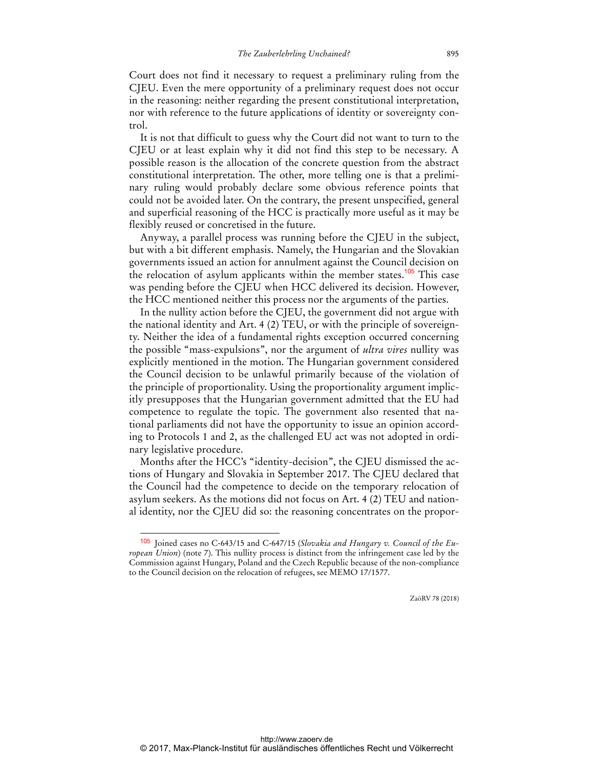Court does not find it necessary to request a preliminary ruling from the CJEU. Even the mere opportunity of a preliminary request does not occur in the reasoning: neither regarding the present constitutional interpretation, nor with reference to the future applications of identity or sovereignty control.

It is not that difficult to guess why the Court did not want to turn to the CJEU or at least explain why it did not find this step to be necessary. A possible reason is the allocation of the concrete question from the abstract constitutional interpretation. The other, more telling one is that a preliminary ruling would probably declare some obvious reference points that could not be avoided later. On the contrary, the present unspecified, general and superficial reasoning of the HCC is practically more useful as it may be flexibly reused or concretised in the future.

Anyway, a parallel process was running before the CJEU in the subject, but with a bit different emphasis. Namely, the Hungarian and the Slovakian governments issued an action for annulment against the Council decision on the relocation of asylum applicants within the member states.<sup>105</sup> This case was pending before the CJEU when HCC delivered its decision. However, the HCC mentioned neither this process nor the arguments of the parties.

In the nullity action before the CJEU, the government did not argue with the national identity and Art. 4 (2) TEU, or with the principle of sovereignty. Neither the idea of a fundamental rights exception occurred concerning the possible "mass-expulsions", nor the argument of *ultra vires* nullity was explicitly mentioned in the motion. The Hungarian government considered the Council decision to be unlawful primarily because of the violation of the principle of proportionality. Using the proportionality argument implicitly presupposes that the Hungarian government admitted that the EU had competence to regulate the topic. The government also resented that national parliaments did not have the opportunity to issue an opinion according to Protocols 1 and 2, as the challenged EU act was not adopted in ordinary legislative procedure.

Months after the HCC's "identity-decision", the CJEU dismissed the actions of Hungary and Slovakia in September 2017. The CJEU declared that the Council had the competence to decide on the temporary relocation of asylum seekers. As the motions did not focus on Art. 4 (2) TEU and national identity, nor the CJEU did so: the reasoning concentrates on the propor-

 $\overline{a}$ 

<sup>105</sup> Joined cases no C‐643/15 and C‐647/15 (*Slovakia and Hungary v. Council of the European Union*) (note 7). This nullity process is distinct from the infringement case led by the Commission against Hungary, Poland and the Czech Republic because of the non-compliance to the Council decision on the relocation of refugees, see MEMO 17/1577.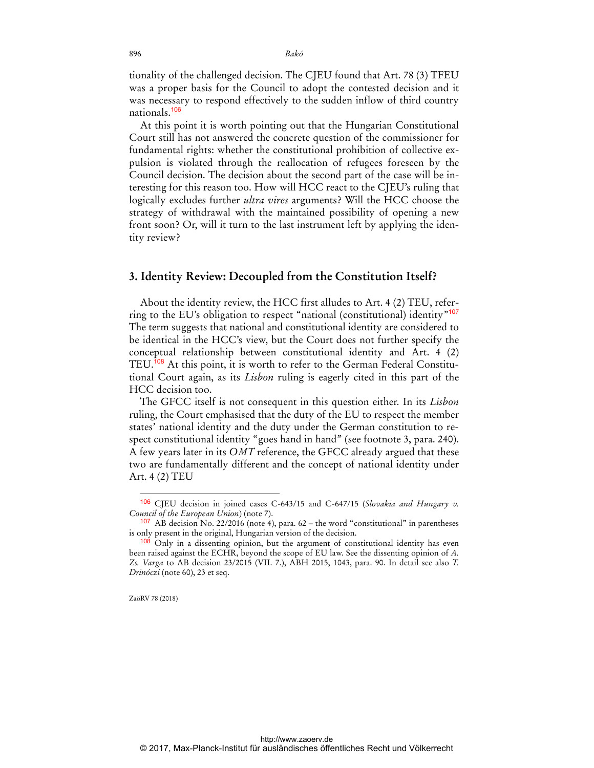tionality of the challenged decision. The CJEU found that Art. 78 (3) TFEU was a proper basis for the Council to adopt the contested decision and it was necessary to respond effectively to the sudden inflow of third country nationals.<sup>106</sup>

At this point it is worth pointing out that the Hungarian Constitutional Court still has not answered the concrete question of the commissioner for fundamental rights: whether the constitutional prohibition of collective expulsion is violated through the reallocation of refugees foreseen by the Council decision. The decision about the second part of the case will be interesting for this reason too. How will HCC react to the CJEU's ruling that logically excludes further *ultra vires* arguments? Will the HCC choose the strategy of withdrawal with the maintained possibility of opening a new front soon? Or, will it turn to the last instrument left by applying the identity review?

#### **3. Identity Review: Decoupled from the Constitution Itself?**

About the identity review, the HCC first alludes to Art. 4 (2) TEU, referring to the EU's obligation to respect "national (constitutional) identity"<sup>107</sup> The term suggests that national and constitutional identity are considered to be identical in the HCC's view, but the Court does not further specify the conceptual relationship between constitutional identity and Art. 4 (2) TEU.<sup>108</sup> At this point, it is worth to refer to the German Federal Constitutional Court again, as its *Lisbon* ruling is eagerly cited in this part of the HCC decision too.

The GFCC itself is not consequent in this question either. In its *Lisbon* ruling, the Court emphasised that the duty of the EU to respect the member states' national identity and the duty under the German constitution to respect constitutional identity "goes hand in hand" (see footnote 3, para. 240). A few years later in its *OMT* reference, the GFCC already argued that these two are fundamentally different and the concept of national identity under Art. 4 (2) TEU

ZaöRV 78 (2018)

<sup>106</sup> CJEU decision in joined cases C-643/15 and C-647/15 (*Slovakia and Hungary v. Council of the European Union*) (note 7).

 $107$  AB decision No. 22/2016 (note 4), para. 62 – the word "constitutional" in parentheses is only present in the original, Hungarian version of the decision.

<sup>108</sup> Only in a dissenting opinion, but the argument of constitutional identity has even been raised against the ECHR, beyond the scope of EU law. See the dissenting opinion of *A. Zs. Varga* to AB decision 23/2015 (VII. 7.), ABH 2015, 1043, para. 90. In detail see also *T. Drinóczi* (note 60), 23 et seq.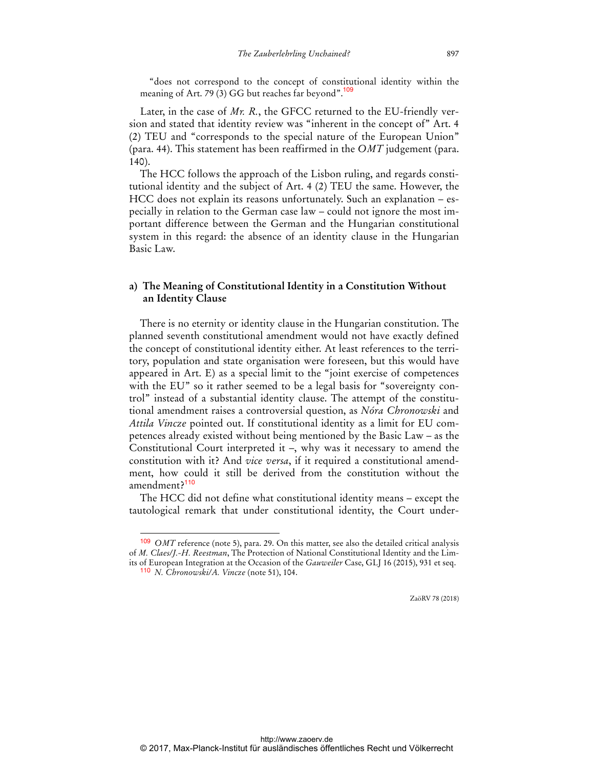"does not correspond to the concept of constitutional identity within the meaning of Art. 79 (3) GG but reaches far beyond".<sup>109</sup>

Later, in the case of *Mr. R.*, the GFCC returned to the EU-friendly version and stated that identity review was "inherent in the concept of" Art. 4 (2) TEU and "corresponds to the special nature of the European Union" (para. 44). This statement has been reaffirmed in the *OMT* judgement (para. 140).

The HCC follows the approach of the Lisbon ruling, and regards constitutional identity and the subject of Art. 4 (2) TEU the same. However, the HCC does not explain its reasons unfortunately. Such an explanation – especially in relation to the German case law – could not ignore the most important difference between the German and the Hungarian constitutional system in this regard: the absence of an identity clause in the Hungarian Basic Law.

### **a) The Meaning of Constitutional Identity in a Constitution Without an Identity Clause**

There is no eternity or identity clause in the Hungarian constitution. The planned seventh constitutional amendment would not have exactly defined the concept of constitutional identity either. At least references to the territory, population and state organisation were foreseen, but this would have appeared in Art. E) as a special limit to the "joint exercise of competences with the EU" so it rather seemed to be a legal basis for "sovereignty control" instead of a substantial identity clause. The attempt of the constitutional amendment raises a controversial question, as *Nóra Chronowski* and *Attila Vincze* pointed out. If constitutional identity as a limit for EU competences already existed without being mentioned by the Basic Law – as the Constitutional Court interpreted it –, why was it necessary to amend the constitution with it? And *vice versa*, if it required a constitutional amendment, how could it still be derived from the constitution without the amendment?<sup>110</sup>

The HCC did not define what constitutional identity means – except the tautological remark that under constitutional identity, the Court under-

 $\overline{a}$ 

<sup>109</sup> *OMT* reference (note 5), para. 29. On this matter, see also the detailed critical analysis of *M. Claes/J.-H. Reestman*, The Protection of National Constitutional Identity and the Limits of European Integration at the Occasion of the *Gauweiler* Case, GLJ 16 (2015), 931 et seq.

<sup>110</sup> *N. Chronowski/A. Vincze* (note 51), 104.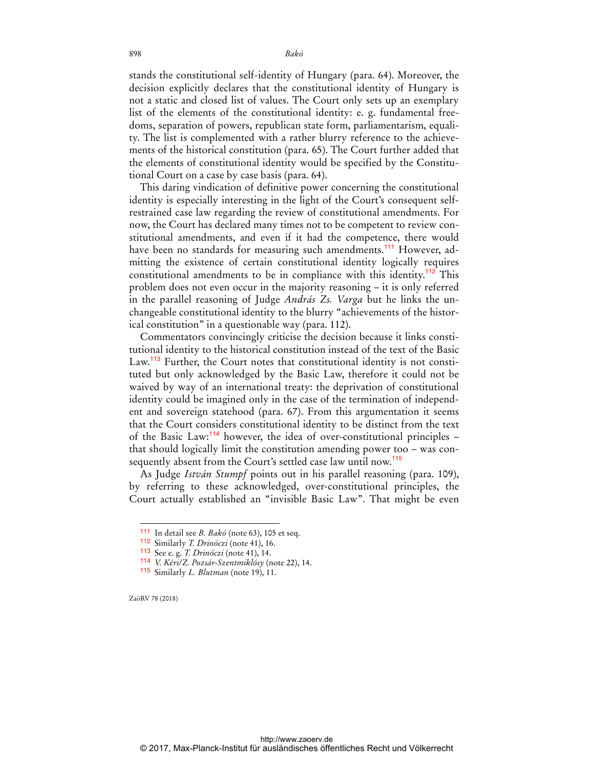stands the constitutional self-identity of Hungary (para. 64). Moreover, the decision explicitly declares that the constitutional identity of Hungary is not a static and closed list of values. The Court only sets up an exemplary list of the elements of the constitutional identity: e. g. fundamental freedoms, separation of powers, republican state form, parliamentarism, equality. The list is complemented with a rather blurry reference to the achievements of the historical constitution (para. 65). The Court further added that the elements of constitutional identity would be specified by the Constitutional Court on a case by case basis (para. 64).

This daring vindication of definitive power concerning the constitutional identity is especially interesting in the light of the Court's consequent selfrestrained case law regarding the review of constitutional amendments. For now, the Court has declared many times not to be competent to review constitutional amendments, and even if it had the competence, there would have been no standards for measuring such amendments.<sup>111</sup> However, admitting the existence of certain constitutional identity logically requires constitutional amendments to be in compliance with this identity.<sup>112</sup> This problem does not even occur in the majority reasoning – it is only referred in the parallel reasoning of Judge *András Zs. Varga* but he links the unchangeable constitutional identity to the blurry "achievements of the historical constitution" in a questionable way (para. 112).

Commentators convincingly criticise the decision because it links constitutional identity to the historical constitution instead of the text of the Basic Law.<sup>113</sup> Further, the Court notes that constitutional identity is not constituted but only acknowledged by the Basic Law, therefore it could not be waived by way of an international treaty: the deprivation of constitutional identity could be imagined only in the case of the termination of independent and sovereign statehood (para. 67). From this argumentation it seems that the Court considers constitutional identity to be distinct from the text of the Basic Law:<sup>114</sup> however, the idea of over-constitutional principles – that should logically limit the constitution amending power too – was consequently absent from the Court's settled case law until now.<sup>115</sup>

As Judge *István Stumpf* points out in his parallel reasoning (para. 109), by referring to these acknowledged, over-constitutional principles, the Court actually established an "invisible Basic Law". That might be even

ZaöRV 78 (2018)

<sup>111</sup> In detail see *B. Bakó* (note 63), 105 et seq.

<sup>112</sup> Similarly *T. Drinóczi* (note 41), 16.

<sup>113</sup> See e. g. *T. Drinóczi* (note 41), 14.

<sup>114</sup> *V. Kéri/Z. Pozsár-Szentmiklósy* (note 22), 14.

<sup>115</sup> Similarly *L. Blutman* (note 19), 11.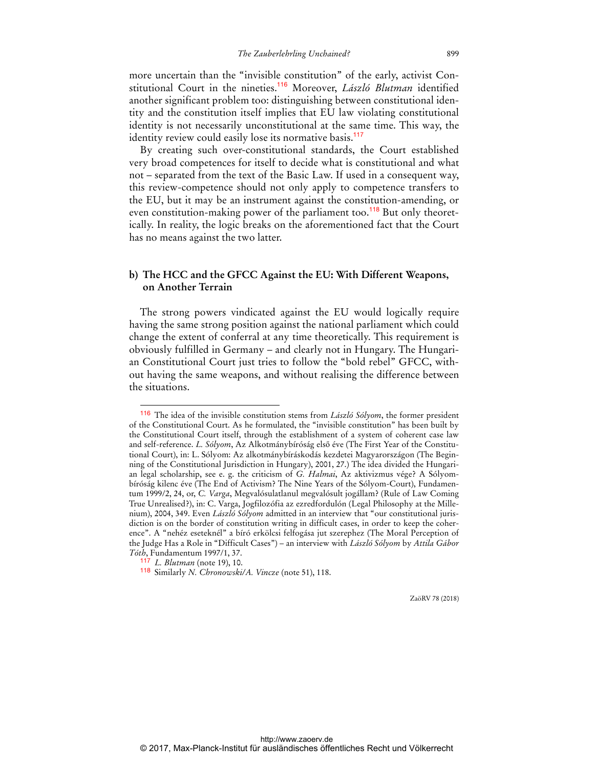more uncertain than the "invisible constitution" of the early, activist Constitutional Court in the nineties.<sup>116</sup> Moreover, *László Blutman* identified another significant problem too: distinguishing between constitutional identity and the constitution itself implies that EU law violating constitutional identity is not necessarily unconstitutional at the same time. This way, the identity review could easily lose its normative basis.<sup>117</sup>

By creating such over-constitutional standards, the Court established very broad competences for itself to decide what is constitutional and what not – separated from the text of the Basic Law. If used in a consequent way, this review-competence should not only apply to competence transfers to the EU, but it may be an instrument against the constitution-amending, or even constitution-making power of the parliament too.<sup>118</sup> But only theoretically. In reality, the logic breaks on the aforementioned fact that the Court has no means against the two latter.

### **b) The HCC and the GFCC Against the EU: With Different Weapons, on Another Terrain**

The strong powers vindicated against the EU would logically require having the same strong position against the national parliament which could change the extent of conferral at any time theoretically. This requirement is obviously fulfilled in Germany – and clearly not in Hungary. The Hungarian Constitutional Court just tries to follow the "bold rebel" GFCC, without having the same weapons, and without realising the difference between the situations.

 $\ddot{ }$ 

<sup>116</sup> The idea of the invisible constitution stems from *László Sólyom*, the former president of the Constitutional Court. As he formulated, the "invisible constitution" has been built by the Constitutional Court itself, through the establishment of a system of coherent case law and self-reference. *L. Sólyom*, Az Alkotmánybíróság első éve (The First Year of the Constitutional Court), in: L. Sólyom: Az alkotmánybíráskodás kezdetei Magyarországon (The Beginning of the Constitutional Jurisdiction in Hungary), 2001, 27.) The idea divided the Hungarian legal scholarship, see e. g. the criticism of *G. Halmai*, Az aktivizmus vége? A Sólyombíróság kilenc éve (The End of Activism? The Nine Years of the Sólyom-Court), Fundamentum 1999/2, 24, or, *C. Varga*, Megvalósulatlanul megvalósult jogállam? (Rule of Law Coming True Unrealised?), in: C. Varga, Jogfilozófia az ezredfordulón (Legal Philosophy at the Millenium), 2004, 349. Even *László Sólyom* admitted in an interview that "our constitutional jurisdiction is on the border of constitution writing in difficult cases, in order to keep the coherence". A "nehéz eseteknél" a bíró erkölcsi felfogása jut szerephez (The Moral Perception of the Judge Has a Role in "Difficult Cases") – an interview with *László Sólyom* by *Attila Gábor Tóth*, Fundamentum 1997/1, 37.

<sup>117</sup> *L. Blutman* (note 19), 10.

<sup>118</sup> Similarly *N. Chronowski/A. Vincze* (note 51), 118.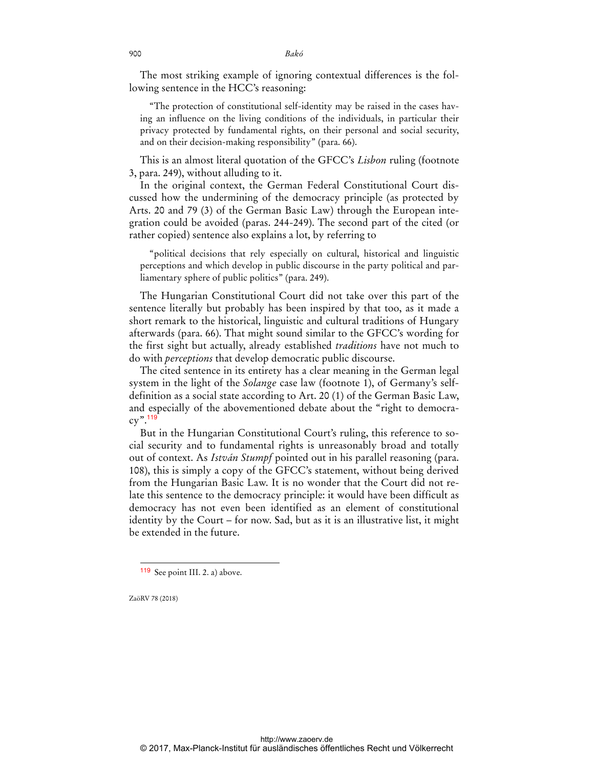The most striking example of ignoring contextual differences is the following sentence in the HCC's reasoning:

"The protection of constitutional self-identity may be raised in the cases having an influence on the living conditions of the individuals, in particular their privacy protected by fundamental rights, on their personal and social security, and on their decision-making responsibility" (para. 66).

This is an almost literal quotation of the GFCC's *Lisbon* ruling (footnote 3, para. 249), without alluding to it.

In the original context, the German Federal Constitutional Court discussed how the undermining of the democracy principle (as protected by Arts. 20 and 79 (3) of the German Basic Law) through the European integration could be avoided (paras. 244-249). The second part of the cited (or rather copied) sentence also explains a lot, by referring to

"political decisions that rely especially on cultural, historical and linguistic perceptions and which develop in public discourse in the party political and parliamentary sphere of public politics" (para. 249).

The Hungarian Constitutional Court did not take over this part of the sentence literally but probably has been inspired by that too, as it made a short remark to the historical, linguistic and cultural traditions of Hungary afterwards (para. 66). That might sound similar to the GFCC's wording for the first sight but actually, already established *traditions* have not much to do with *perceptions* that develop democratic public discourse.

The cited sentence in its entirety has a clear meaning in the German legal system in the light of the *Solange* case law (footnote 1), of Germany's selfdefinition as a social state according to Art. 20 (1) of the German Basic Law, and especially of the abovementioned debate about the "right to democra $cy$ ".<sup>119</sup>

But in the Hungarian Constitutional Court's ruling, this reference to social security and to fundamental rights is unreasonably broad and totally out of context. As *István Stumpf* pointed out in his parallel reasoning (para. 108), this is simply a copy of the GFCC's statement, without being derived from the Hungarian Basic Law. It is no wonder that the Court did not relate this sentence to the democracy principle: it would have been difficult as democracy has not even been identified as an element of constitutional identity by the Court – for now. Sad, but as it is an illustrative list, it might be extended in the future.

ZaöRV 78 (2018)

 $\ddot{ }$ 

<sup>119</sup> See point III. 2. a) above.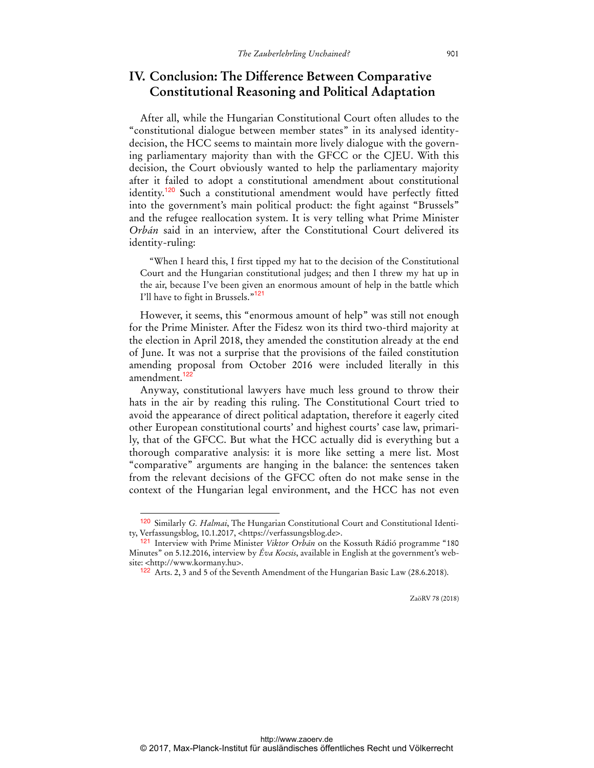# **IV. Conclusion: The Difference Between Comparative Constitutional Reasoning and Political Adaptation**

After all, while the Hungarian Constitutional Court often alludes to the "constitutional dialogue between member states" in its analysed identitydecision, the HCC seems to maintain more lively dialogue with the governing parliamentary majority than with the GFCC or the CJEU. With this decision, the Court obviously wanted to help the parliamentary majority after it failed to adopt a constitutional amendment about constitutional identity.<sup>120</sup> Such a constitutional amendment would have perfectly fitted into the government's main political product: the fight against "Brussels" and the refugee reallocation system. It is very telling what Prime Minister *Orbán* said in an interview, after the Constitutional Court delivered its identity-ruling:

"When I heard this, I first tipped my hat to the decision of the Constitutional Court and the Hungarian constitutional judges; and then I threw my hat up in the air, because I've been given an enormous amount of help in the battle which I'll have to fight in Brussels."<sup>121</sup>

However, it seems, this "enormous amount of help" was still not enough for the Prime Minister. After the Fidesz won its third two-third majority at the election in April 2018, they amended the constitution already at the end of June. It was not a surprise that the provisions of the failed constitution amending proposal from October 2016 were included literally in this amendment.<sup>122</sup>

Anyway, constitutional lawyers have much less ground to throw their hats in the air by reading this ruling. The Constitutional Court tried to avoid the appearance of direct political adaptation, therefore it eagerly cited other European constitutional courts' and highest courts' case law, primarily, that of the GFCC. But what the HCC actually did is everything but a thorough comparative analysis: it is more like setting a mere list. Most "comparative" arguments are hanging in the balance: the sentences taken from the relevant decisions of the GFCC often do not make sense in the context of the Hungarian legal environment, and the HCC has not even

 $\overline{a}$ 

<sup>120</sup> Similarly *G. Halmai*, The Hungarian Constitutional Court and Constitutional Identity, Verfassungsblog, 10.1.2017, <https://verfassungsblog.de>.

<sup>121</sup> Interview with Prime Minister *Viktor Orbán* on the Kossuth Rádió programme "180 Minutes" on 5.12.2016, interview by *Éva Kocsis*, available in English at the government's website: <http://www.kormany.hu>.

<sup>122</sup> Arts. 2, 3 and 5 of the Seventh Amendment of the Hungarian Basic Law (28.6.2018).